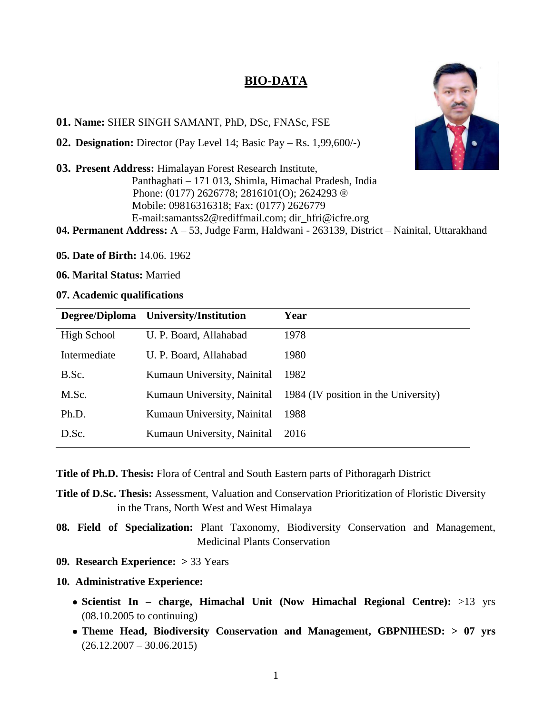# **BIO-DATA**



#### **01. Name:** SHER SINGH SAMANT, PhD, DSc, FNASc, FSE

**02. Designation:** Director (Pay Level 14; Basic Pay – Rs. 1,99,600/-)

**03. Present Address:** Himalayan Forest Research Institute, Panthaghati – 171 013, Shimla, Himachal Pradesh, India Phone: (0177) 2626778; 2816101(O); 2624293 ® Mobile: 09816316318; Fax: (0177) 2626779 E-mail[:samantss2@rediffmail.com;](mailto:samantss2@rediffmail.com) [dir\\_hfri@icfre.org](mailto:dir_hfri@icfre.org) **04. Permanent Address:** A – 53, Judge Farm, Haldwani - 263139, District – Nainital, Uttarakhand

**05. Date of Birth:** 14.06. 1962

**06. Marital Status:** Married

#### **07. Academic qualifications**

| Degree/Diploma | University/Institution      | Year                                 |
|----------------|-----------------------------|--------------------------------------|
| High School    | U. P. Board, Allahabad      | 1978                                 |
| Intermediate   | U. P. Board, Allahabad      | 1980                                 |
| B.Sc.          | Kumaun University, Nainital | 1982                                 |
| M.Sc.          | Kumaun University, Nainital | 1984 (IV position in the University) |
| Ph.D.          | Kumaun University, Nainital | 1988                                 |
| D.Sc.          | Kumaun University, Nainital | 2016                                 |

**Title of Ph.D. Thesis:** Flora of Central and South Eastern parts of Pithoragarh District

**Title of D.Sc. Thesis:** Assessment, Valuation and Conservation Prioritization of Floristic Diversity in the Trans, North West and West Himalaya

**08. Field of Specialization:** Plant Taxonomy, Biodiversity Conservation and Management, Medicinal Plants Conservation

**09. Research Experience: >** 33 Years

#### **10. Administrative Experience:**

- **Scientist In – charge, Himachal Unit (Now Himachal Regional Centre):** >13 yrs (08.10.2005 to continuing)
- **Theme Head, Biodiversity Conservation and Management, GBPNIHESD: > 07 yrs**  $(26.12.2007 - 30.06.2015)$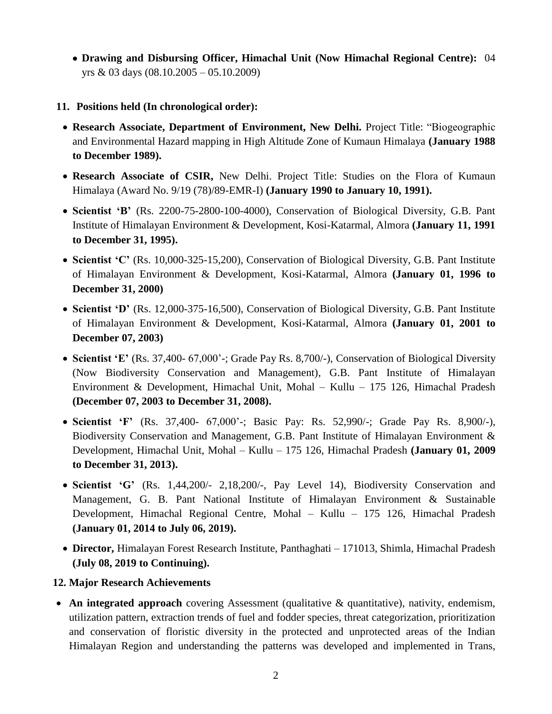- **Drawing and Disbursing Officer, Himachal Unit (Now Himachal Regional Centre):** 04 yrs & 03 days (08.10.2005 – 05.10.2009)
- **11. Positions held (In chronological order):** 
	- **Research Associate, Department of Environment, New Delhi.** Project Title: "Biogeographic and Environmental Hazard mapping in High Altitude Zone of Kumaun Himalaya **(January 1988 to December 1989).**
	- **Research Associate of CSIR,** New Delhi. Project Title: Studies on the Flora of Kumaun Himalaya (Award No. 9/19 (78)/89-EMR-I) **(January 1990 to January 10, 1991).**
	- **Scientist 'B'** (Rs. 2200-75-2800-100-4000), Conservation of Biological Diversity, G.B. Pant Institute of Himalayan Environment & Development, Kosi-Katarmal, Almora **(January 11, 1991 to December 31, 1995).**
	- **Scientist 'C'** (Rs. 10,000-325-15,200), Conservation of Biological Diversity, G.B. Pant Institute of Himalayan Environment & Development, Kosi-Katarmal, Almora **(January 01, 1996 to December 31, 2000)**
	- **Scientist 'D'** (Rs. 12,000-375-16,500), Conservation of Biological Diversity, G.B. Pant Institute of Himalayan Environment & Development, Kosi-Katarmal, Almora **(January 01, 2001 to December 07, 2003)**
	- Scientist 'E' (Rs. 37,400- 67,000'-; Grade Pay Rs. 8,700/-), Conservation of Biological Diversity (Now Biodiversity Conservation and Management), G.B. Pant Institute of Himalayan Environment & Development, Himachal Unit, Mohal – Kullu – 175 126, Himachal Pradesh **(December 07, 2003 to December 31, 2008).**
	- **Scientist 'F'** (Rs. 37,400- 67,000'-; Basic Pay: Rs. 52,990/-; Grade Pay Rs. 8,900/-), Biodiversity Conservation and Management, G.B. Pant Institute of Himalayan Environment & Development, Himachal Unit, Mohal – Kullu – 175 126, Himachal Pradesh **(January 01, 2009 to December 31, 2013).**
	- **Scientist 'G'** (Rs. 1,44,200/- 2,18,200/-, Pay Level 14), Biodiversity Conservation and Management, G. B. Pant National Institute of Himalayan Environment & Sustainable Development, Himachal Regional Centre, Mohal – Kullu – 175 126, Himachal Pradesh **(January 01, 2014 to July 06, 2019).**
- **Director,** Himalayan Forest Research Institute, Panthaghati 171013, Shimla, Himachal Pradesh **(July 08, 2019 to Continuing).**

## **12. Major Research Achievements**

• An integrated approach covering Assessment (qualitative & quantitative), nativity, endemism, utilization pattern, extraction trends of fuel and fodder species, threat categorization, prioritization and conservation of floristic diversity in the protected and unprotected areas of the Indian Himalayan Region and understanding the patterns was developed and implemented in Trans,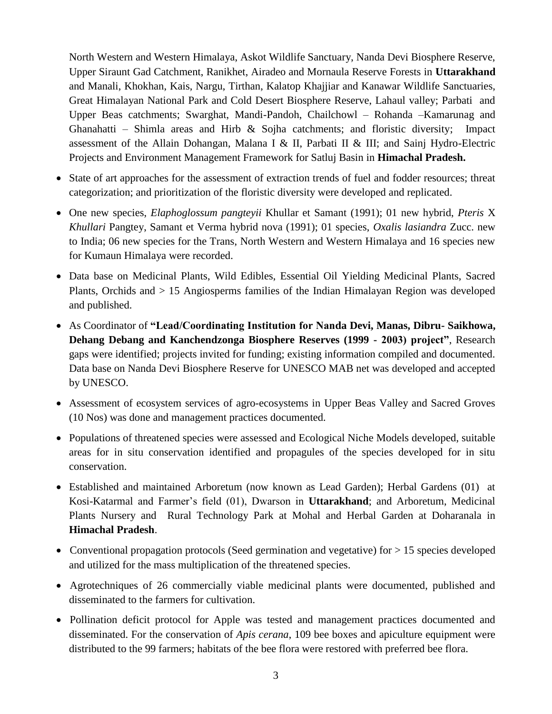North Western and Western Himalaya, Askot Wildlife Sanctuary, Nanda Devi Biosphere Reserve, Upper Siraunt Gad Catchment, Ranikhet, Airadeo and Mornaula Reserve Forests in **Uttarakhand** and Manali, Khokhan, Kais, Nargu, Tirthan, Kalatop Khajjiar and Kanawar Wildlife Sanctuaries, Great Himalayan National Park and Cold Desert Biosphere Reserve, Lahaul valley; Parbati and Upper Beas catchments; Swarghat, Mandi-Pandoh, Chailchowl – Rohanda –Kamarunag and Ghanahatti – Shimla areas and Hirb & Sojha catchments; and floristic diversity; Impact assessment of the Allain Dohangan, Malana I & II, Parbati II & III; and Sainj Hydro-Electric Projects and Environment Management Framework for Satluj Basin in **Himachal Pradesh.**

- State of art approaches for the assessment of extraction trends of fuel and fodder resources; threat categorization; and prioritization of the floristic diversity were developed and replicated.
- One new species, *Elaphoglossum pangteyii* Khullar et Samant (1991); 01 new hybrid, *Pteris* X *Khullari* Pangtey, Samant et Verma hybrid nova (1991); 01 species, *Oxalis lasiandra* Zucc. new to India; 06 new species for the Trans, North Western and Western Himalaya and 16 species new for Kumaun Himalaya were recorded.
- Data base on Medicinal Plants, Wild Edibles, Essential Oil Yielding Medicinal Plants, Sacred Plants, Orchids and > 15 Angiosperms families of the Indian Himalayan Region was developed and published.
- As Coordinator of **"Lead/Coordinating Institution for Nanda Devi, Manas, Dibru- Saikhowa, Dehang Debang and Kanchendzonga Biosphere Reserves (1999 - 2003) project"**, Research gaps were identified; projects invited for funding; existing information compiled and documented. Data base on Nanda Devi Biosphere Reserve for UNESCO MAB net was developed and accepted by UNESCO.
- Assessment of ecosystem services of agro-ecosystems in Upper Beas Valley and Sacred Groves (10 Nos) was done and management practices documented.
- Populations of threatened species were assessed and Ecological Niche Models developed, suitable areas for in situ conservation identified and propagules of the species developed for in situ conservation.
- Established and maintained Arboretum (now known as Lead Garden); Herbal Gardens (01) at Kosi-Katarmal and Farmer's field (01), Dwarson in **Uttarakhand**; and Arboretum, Medicinal Plants Nursery and Rural Technology Park at Mohal and Herbal Garden at Doharanala in **Himachal Pradesh**.
- Conventional propagation protocols (Seed germination and vegetative) for  $> 15$  species developed and utilized for the mass multiplication of the threatened species.
- Agrotechniques of 26 commercially viable medicinal plants were documented, published and disseminated to the farmers for cultivation.
- Pollination deficit protocol for Apple was tested and management practices documented and disseminated. For the conservation of *Apis cerana*, 109 bee boxes and apiculture equipment were distributed to the 99 farmers; habitats of the bee flora were restored with preferred bee flora.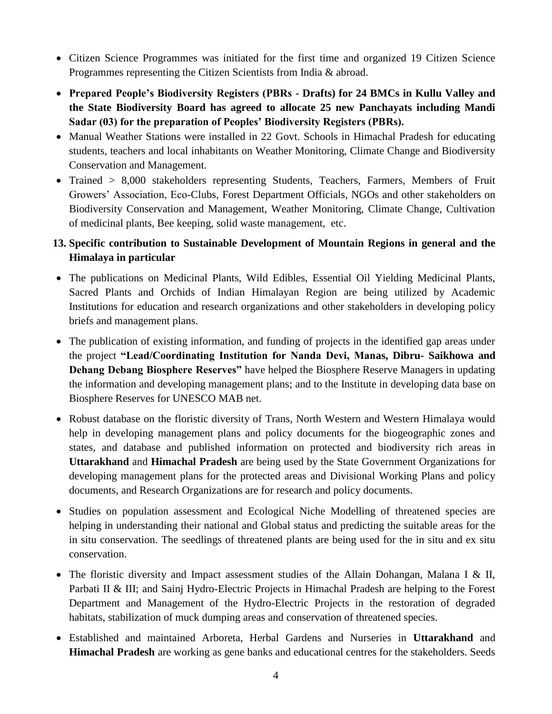- Citizen Science Programmes was initiated for the first time and organized 19 Citizen Science Programmes representing the Citizen Scientists from India & abroad.
- **Prepared People's Biodiversity Registers (PBRs - Drafts) for 24 BMCs in Kullu Valley and the State Biodiversity Board has agreed to allocate 25 new Panchayats including Mandi Sadar (03) for the preparation of Peoples' Biodiversity Registers (PBRs).**
- Manual Weather Stations were installed in 22 Govt. Schools in Himachal Pradesh for educating students, teachers and local inhabitants on Weather Monitoring, Climate Change and Biodiversity Conservation and Management.
- Trained > 8,000 stakeholders representing Students, Teachers, Farmers, Members of Fruit Growers' Association, Eco-Clubs, Forest Department Officials, NGOs and other stakeholders on Biodiversity Conservation and Management, Weather Monitoring, Climate Change, Cultivation of medicinal plants, Bee keeping, solid waste management, etc.

## **13. Specific contribution to Sustainable Development of Mountain Regions in general and the Himalaya in particular**

- The publications on Medicinal Plants, Wild Edibles, Essential Oil Yielding Medicinal Plants, Sacred Plants and Orchids of Indian Himalayan Region are being utilized by Academic Institutions for education and research organizations and other stakeholders in developing policy briefs and management plans.
- The publication of existing information, and funding of projects in the identified gap areas under the project **"Lead/Coordinating Institution for Nanda Devi, Manas, Dibru- Saikhowa and Dehang Debang Biosphere Reserves"** have helped the Biosphere Reserve Managers in updating the information and developing management plans; and to the Institute in developing data base on Biosphere Reserves for UNESCO MAB net.
- Robust database on the floristic diversity of Trans, North Western and Western Himalaya would help in developing management plans and policy documents for the biogeographic zones and states, and database and published information on protected and biodiversity rich areas in **Uttarakhand** and **Himachal Pradesh** are being used by the State Government Organizations for developing management plans for the protected areas and Divisional Working Plans and policy documents, and Research Organizations are for research and policy documents.
- Studies on population assessment and Ecological Niche Modelling of threatened species are helping in understanding their national and Global status and predicting the suitable areas for the in situ conservation. The seedlings of threatened plants are being used for the in situ and ex situ conservation.
- The floristic diversity and Impact assessment studies of the Allain Dohangan, Malana I & II, Parbati II & III; and Sainj Hydro-Electric Projects in Himachal Pradesh are helping to the Forest Department and Management of the Hydro-Electric Projects in the restoration of degraded habitats, stabilization of muck dumping areas and conservation of threatened species.
- Established and maintained Arboreta, Herbal Gardens and Nurseries in **Uttarakhand** and **Himachal Pradesh** are working as gene banks and educational centres for the stakeholders. Seeds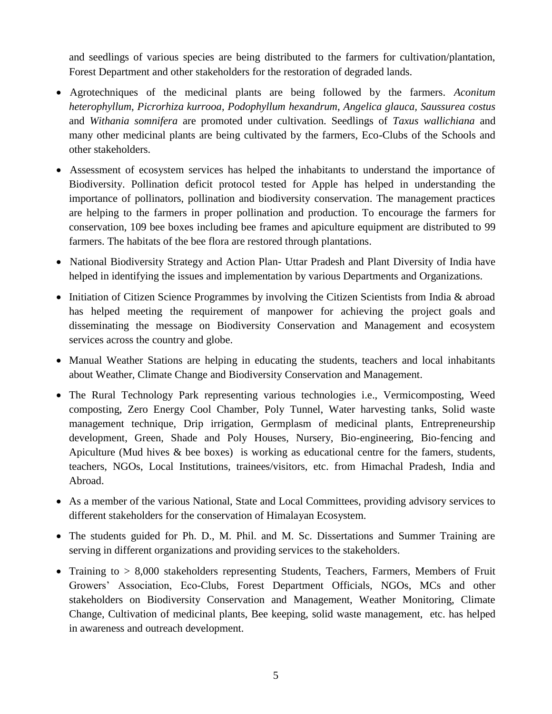and seedlings of various species are being distributed to the farmers for cultivation/plantation, Forest Department and other stakeholders for the restoration of degraded lands.

- Agrotechniques of the medicinal plants are being followed by the farmers. *Aconitum heterophyllum*, *Picrorhiza kurrooa*, *Podophyllum hexandrum*, *Angelica glauca, Saussurea costus*  and *Withania somnifera* are promoted under cultivation. Seedlings of *Taxus wallichiana* and many other medicinal plants are being cultivated by the farmers, Eco-Clubs of the Schools and other stakeholders.
- Assessment of ecosystem services has helped the inhabitants to understand the importance of Biodiversity. Pollination deficit protocol tested for Apple has helped in understanding the importance of pollinators, pollination and biodiversity conservation. The management practices are helping to the farmers in proper pollination and production. To encourage the farmers for conservation, 109 bee boxes including bee frames and apiculture equipment are distributed to 99 farmers. The habitats of the bee flora are restored through plantations.
- National Biodiversity Strategy and Action Plan- Uttar Pradesh and Plant Diversity of India have helped in identifying the issues and implementation by various Departments and Organizations.
- Initiation of Citizen Science Programmes by involving the Citizen Scientists from India & abroad has helped meeting the requirement of manpower for achieving the project goals and disseminating the message on Biodiversity Conservation and Management and ecosystem services across the country and globe.
- Manual Weather Stations are helping in educating the students, teachers and local inhabitants about Weather, Climate Change and Biodiversity Conservation and Management.
- The Rural Technology Park representing various technologies i.e., Vermicomposting, Weed composting, Zero Energy Cool Chamber, Poly Tunnel, Water harvesting tanks, Solid waste management technique, Drip irrigation, Germplasm of medicinal plants, Entrepreneurship development, Green, Shade and Poly Houses, Nursery, Bio-engineering, Bio-fencing and Apiculture (Mud hives & bee boxes) is working as educational centre for the famers, students, teachers, NGOs, Local Institutions, trainees/visitors, etc. from Himachal Pradesh, India and Abroad.
- As a member of the various National, State and Local Committees, providing advisory services to different stakeholders for the conservation of Himalayan Ecosystem.
- The students guided for Ph. D., M. Phil. and M. Sc. Dissertations and Summer Training are serving in different organizations and providing services to the stakeholders.
- Training to > 8,000 stakeholders representing Students, Teachers, Farmers, Members of Fruit Growers' Association, Eco-Clubs, Forest Department Officials, NGOs, MCs and other stakeholders on Biodiversity Conservation and Management, Weather Monitoring, Climate Change, Cultivation of medicinal plants, Bee keeping, solid waste management, etc. has helped in awareness and outreach development.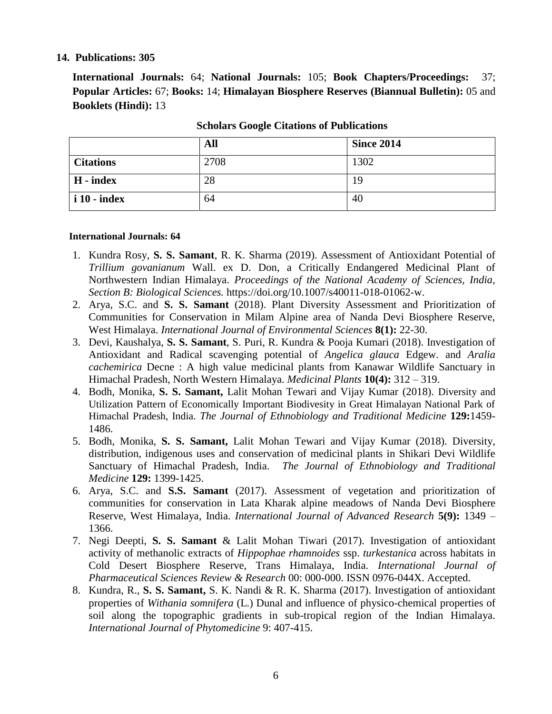#### **14. Publications: 305**

**International Journals:** 64; **National Journals:** 105; **Book Chapters/Proceedings:** 37; **Popular Articles:** 67; **Books:** 14; **Himalayan Biosphere Reserves (Biannual Bulletin):** 05 and **Booklets (Hindi):** 13

|                  | All  | <b>Since 2014</b> |
|------------------|------|-------------------|
| <b>Citations</b> | 2708 | 1302              |
| H - index        | 28   | 19                |
| i 10 - index     | 64   | 40                |

**Scholars Google Citations of Publications**

#### **International Journals: 64**

- 1. Kundra Rosy, **S. S. Samant**, R. K. Sharma (2019). Assessment of Antioxidant Potential of *Trillium govanianum* Wall. ex D. Don, a Critically Endangered Medicinal Plant of Northwestern Indian Himalaya. *Proceedings of the National Academy of Sciences, India, Section B: Biological Sciences.* https://doi.org/10.1007/s40011-018-01062-w.
- 2. Arya, S.C. and **S. S. Samant** (2018). Plant Diversity Assessment and Prioritization of Communities for Conservation in Milam Alpine area of Nanda Devi Biosphere Reserve, West Himalaya. *International Journal of Environmental Sciences* **8(1):** 22-30.
- 3. Devi, Kaushalya, **S. S. Samant**, S. Puri, R. Kundra & Pooja Kumari (2018). Investigation of Antioxidant and Radical scavenging potential of *Angelica glauca* Edgew. and *Aralia cachemirica* Decne : A high value medicinal plants from Kanawar Wildlife Sanctuary in Himachal Pradesh, North Western Himalaya. *Medicinal Plants* **10(4):** 312 – 319.
- 4. Bodh, Monika, **S. S. Samant,** Lalit Mohan Tewari and Vijay Kumar (2018). Diversity and Utilization Pattern of Economically Important Biodivesity in Great Himalayan National Park of Himachal Pradesh, India. *The Journal of Ethnobiology and Traditional Medicine* **129:**1459- 1486.
- 5. Bodh, Monika, **S. S. Samant,** Lalit Mohan Tewari and Vijay Kumar (2018). Diversity, distribution, indigenous uses and conservation of medicinal plants in Shikari Devi Wildlife Sanctuary of Himachal Pradesh, India. *The Journal of Ethnobiology and Traditional Medicine* **129:** 1399-1425.
- 6. Arya, S.C. and **S.S. Samant** (2017). Assessment of vegetation and prioritization of communities for conservation in Lata Kharak alpine meadows of Nanda Devi Biosphere Reserve, West Himalaya, India. *International Journal of Advanced Research* **5(9):** 1349 – 1366.
- 7. Negi Deepti, **S. S. Samant** & Lalit Mohan Tiwari (2017). Investigation of antioxidant activity of methanolic extracts of *Hippophae rhamnoides* ssp. *turkestanica* across habitats in Cold Desert Biosphere Reserve, Trans Himalaya, India. *International Journal of Pharmaceutical Sciences Review & Research* 00: 000-000. ISSN 0976-044X. Accepted.
- 8. Kundra, R., **S. S. Samant,** S. K. Nandi & R. K. Sharma (2017). Investigation of antioxidant properties of *Withania somnifera* (L.) Dunal and influence of physico-chemical properties of soil along the topographic gradients in sub-tropical region of the Indian Himalaya. *International Journal of Phytomedicine* 9: 407-415.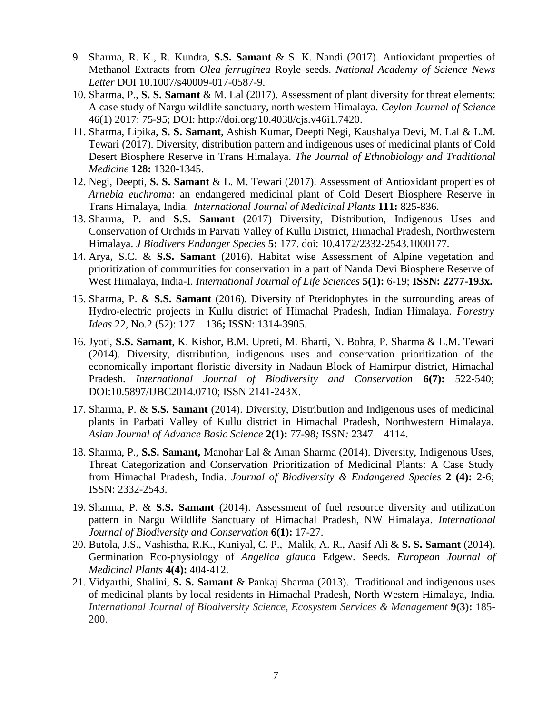- 9. Sharma, R. K., R. Kundra, **S.S. Samant** & S. K. Nandi (2017). Antioxidant properties of Methanol Extracts from *Olea ferruginea* Royle seeds. *National Academy of Science News Letter* DOI 10.1007/s40009-017-0587-9.
- 10. Sharma, P., **S. S. Samant** & M. Lal (2017). Assessment of plant diversity for threat elements: A case study of Nargu wildlife sanctuary, north western Himalaya. *Ceylon Journal of Science* 46(1) 2017: 75-95; DOI: http://doi.org/10.4038/cjs.v46i1.7420.
- 11. Sharma, Lipika, **S. S. Samant**, Ashish Kumar, Deepti Negi, Kaushalya Devi, M. Lal & L.M. Tewari (2017). Diversity, distribution pattern and indigenous uses of medicinal plants of Cold Desert Biosphere Reserve in Trans Himalaya. *The Journal of Ethnobiology and Traditional Medicine* **128:** 1320-1345.
- 12. Negi, Deepti, **S. S. Samant** & L. M. Tewari (2017). Assessment of Antioxidant properties of *Arnebia euchroma*: an endangered medicinal plant of Cold Desert Biosphere Reserve in Trans Himalaya, India. *International Journal of Medicinal Plants* **111:** 825-836.
- 13. Sharma, P. and **S.S. Samant** (2017) Diversity, Distribution, Indigenous Uses and Conservation of Orchids in Parvati Valley of Kullu District, Himachal Pradesh, Northwestern Himalaya. *J Biodivers Endanger Species* **5:** 177. doi: 10.4172/2332-2543.1000177*.*
- 14. Arya, S.C. & **S.S. Samant** (2016). Habitat wise Assessment of Alpine vegetation and prioritization of communities for conservation in a part of Nanda Devi Biosphere Reserve of West Himalaya, India-I. *International Journal of Life Sciences* **5(1):** 6-19; **ISSN: 2277-193x.**
- 15. Sharma, P. & **S.S. Samant** (2016). Diversity of Pteridophytes in the surrounding areas of Hydro-electric projects in Kullu district of Himachal Pradesh, Indian Himalaya. *Forestry Ideas* 22, No.2 (52): 127 – 136**;** ISSN: 1314-3905.
- 16. Jyoti, **S.S. Samant**, K. Kishor, B.M. Upreti, M. Bharti, N. Bohra, P. Sharma & L.M. Tewari (2014). Diversity, distribution, indigenous uses and conservation prioritization of the economically important floristic diversity in Nadaun Block of Hamirpur district, Himachal Pradesh. *International Journal of Biodiversity and Conservation* **6(7):** 522-540; DOI:10.5897/IJBC2014.0710; ISSN 2141-243X.
- 17. Sharma, P. & **S.S. Samant** (2014). Diversity, Distribution and Indigenous uses of medicinal plants in Parbati Valley of Kullu district in Himachal Pradesh, Northwestern Himalaya. *Asian Journal of Advance Basic Science* **2(1):** 77-98*;* ISSN*:* 2347 – 4114.
- 18. Sharma, P., **S.S. Samant,** Manohar Lal & Aman Sharma (2014). Diversity, Indigenous Uses, Threat Categorization and Conservation Prioritization of Medicinal Plants: A Case Study from Himachal Pradesh, India. *Journal of Biodiversity & Endangered Species* **2 (4):** 2-6; ISSN: 2332-2543.
- 19. Sharma, P. & **S.S. Samant** (2014). Assessment of fuel resource diversity and utilization pattern in Nargu Wildlife Sanctuary of Himachal Pradesh, NW Himalaya. *International Journal of Biodiversity and Conservation* **6(1):** 17-27.
- 20. Butola, J.S., Vashistha, R.K., Kuniyal, C. P., Malik, A. R., Aasif Ali & **S. S. Samant** (2014). Germination Eco-physiology of *Angelica glauca* Edgew. Seeds. *European Journal of Medicinal Plants* **4(4):** 404-412.
- 21. Vidyarthi, Shalini, **S. S. Samant** & Pankaj Sharma (2013). Traditional and indigenous uses of medicinal plants by local residents in Himachal Pradesh, North Western Himalaya, India. *International Journal of Biodiversity Science, Ecosystem Services & Management* **9(3):** 185- 200.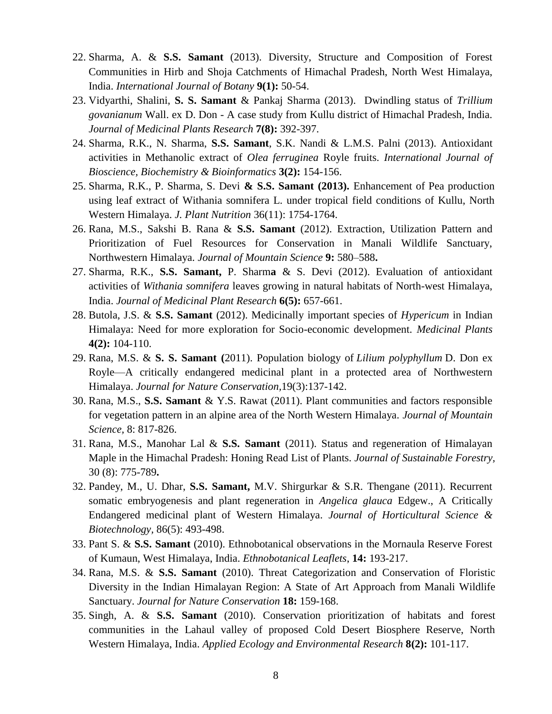- 22. Sharma, A. & **S.S. Samant** (2013). [Diversity, Structure and Composition of Forest](http://www.doaj.org/doaj?func=fulltext&aId=1502377)  [Communities in Hirb and Shoja Catchments of Himachal Pradesh, North West Himalaya,](http://www.doaj.org/doaj?func=fulltext&aId=1502377)  [India.](http://www.doaj.org/doaj?func=fulltext&aId=1502377) *International Journal of Botany* **9(1):** 50-54.
- 23. Vidyarthi, Shalini, **S. S. Samant** & Pankaj Sharma (2013). Dwindling status of *Trillium govanianum* Wall. ex D. Don - A case study from Kullu district of Himachal Pradesh, India. *Journal of Medicinal Plants Research* **7(8):** 392-397.
- 24. Sharma, R.K., N. Sharma, **S.S. Samant**, S.K. Nandi & L.M.S. Palni (2013). Antioxidant activities in Methanolic extract of *Olea ferruginea* Royle fruits. *International Journal of Bioscience, Biochemistry & Bioinformatics* **3(2):** 154-156.
- 25. Sharma, R.K., P. Sharma, S. Devi **& S.S. Samant (2013).** Enhancement of Pea production using leaf extract of Withania somnifera L. under tropical field conditions of Kullu, North Western Himalaya. *J. Plant Nutrition* 36(11): 1754-1764.
- 26. Rana, M.S., Sakshi B. Rana & **S.S. Samant** (2012). Extraction, Utilization Pattern and Prioritization of Fuel Resources for Conservation in Manali Wildlife Sanctuary, Northwestern Himalaya. *Journal of Mountain Science* **9:** 580–588**.**
- 27. Sharma, R.K., **S.S. Samant,** P. Sharm**a** & S. Devi (2012). Evaluation of antioxidant activities of *Withania somnifera* leaves growing in natural habitats of North-west Himalaya, India. *Journal of Medicinal Plant Research* **6(5):** 657-661.
- 28. Butola, J.S. & **S.S. Samant** (2012). Medicinally important species of *Hypericum* in Indian Himalaya: Need for more exploration for Socio-economic development. *Medicinal Plants* **4(2):** 104-110.
- 29. Rana, M.S. & **S. S. Samant (**2011). Population biology of *Lilium polyphyllum* D. Don ex Royle—A critically endangered medicinal plant in a protected area of Northwestern Himalaya. *[Journal for Nature Conservation,](http://www.sciencedirect.com/science/journal/16171381)*[19\(3\)](http://www.sciencedirect.com/science?_ob=PublicationURL&_tockey=%23TOC%2320198%232011%23999809996%233182768%23FLA%23&_cdi=20198&_pubType=J&view=c&_auth=y&_acct=C000050221&_version=1&_urlVersion=0&_userid=10&md5=77609f4abb90b7cc724591228e11f936):137-142.
- 30. Rana, M.S., **S.S. Samant** & Y.S. Rawat (2011). Plant communities and factors responsible for vegetation pattern in an alpine area of the North Western Himalaya. *Journal of Mountain Science,* 8: 817-826.
- 31. Rana, M.S., Manohar Lal & **S.S. Samant** (2011). Status and regeneration of Himalayan Maple in the Himachal Pradesh: Honing Read List of Plants. *Journal of Sustainable Forestry,* 30 (8): 775-789**.**
- 32. Pandey, M., U. Dhar, **S.S. Samant,** M.V. Shirgurkar & S.R. Thengane (2011). Recurrent somatic embryogenesis and plant regeneration in *Angelica glauca* Edgew., A Critically Endangered medicinal plant of Western Himalaya. *Journal of Horticultural Science & Biotechnology,* 86(5): 493-498.
- 33. Pant S. & **S.S. Samant** (2010). Ethnobotanical observations in the Mornaula Reserve Forest of Kumaun, West Himalaya, India. *Ethnobotanical Leaflets*, **14:** 193-217.
- 34. Rana, M.S. & **S.S. Samant** (2010). Threat Categorization and Conservation of Floristic Diversity in the Indian Himalayan Region: A State of Art Approach from Manali Wildlife Sanctuary. *Journal for Nature Conservation* **18:** 159-168.
- 35. Singh, A. & **S.S. Samant** (2010). Conservation prioritization of habitats and forest communities in the Lahaul valley of proposed Cold Desert Biosphere Reserve, North Western Himalaya, India. *Applied Ecology and Environmental Research* **8(2):** 101-117.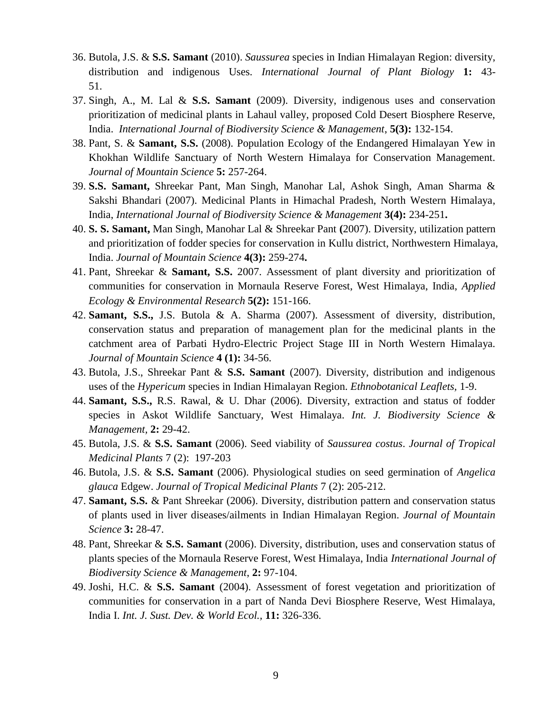- 36. Butola, J.S. & **S.S. Samant** (2010). *Saussurea* species in Indian Himalayan Region: diversity, distribution and indigenous Uses. *International Journal of Plant Biology* **1:** 43-  $51.$
- 37. Singh, A., M. Lal & **S.S. Samant** (2009). Diversity, indigenous uses and conservation prioritization of medicinal plants in Lahaul valley, proposed Cold Desert Biosphere Reserve, India. *International Journal of Biodiversity Science & Management*, **5(3):** 132-154.
- 38. Pant, S. & **Samant, S.S.** (2008). Population Ecology of the Endangered Himalayan Yew in Khokhan Wildlife Sanctuary of North Western Himalaya for Conservation Management. *Journal of Mountain Science* **5:** 257-264.
- 39. **S.S. Samant,** Shreekar Pant, Man Singh, Manohar Lal, Ashok Singh, Aman Sharma & Sakshi Bhandari (2007). Medicinal Plants in Himachal Pradesh, North Western Himalaya, India, *International Journal of Biodiversity Science & Management* **3(4):** 234-251**.**
- 40. **S. S. Samant,** Man Singh, Manohar Lal & Shreekar Pant **(**2007). Diversity, utilization pattern and prioritization of fodder species for conservation in Kullu district, Northwestern Himalaya, India. *Journal of Mountain Science* **4(3):** 259-274**.**
- 41. Pant, Shreekar & **Samant, S.S.** 2007. Assessment of plant diversity and prioritization of communities for conservation in Mornaula Reserve Forest, West Himalaya, India, *Applied Ecology & Environmental Research* **5(2):** 151-166.
- 42. **Samant, S.S.,** J.S. Butola & A. Sharma (2007). Assessment of diversity, distribution, conservation status and preparation of management plan for the medicinal plants in the catchment area of Parbati Hydro-Electric Project Stage III in North Western Himalaya. *Journal of Mountain Science* **4 (1):** 34-56.
- 43. Butola, J.S., Shreekar Pant & **S.S. Samant** (2007). Diversity, distribution and indigenous uses of the *Hypericum* species in Indian Himalayan Region. *Ethnobotanical Leaflets,* 1-9.
- 44. **Samant, S.S.,** R.S. Rawal, & U. Dhar (2006). Diversity, extraction and status of fodder species in Askot Wildlife Sanctuary, West Himalaya. *Int. J. Biodiversity Science & Management,* **2:** 29-42.
- 45. Butola, J.S. & **S.S. Samant** (2006). Seed viability of *Saussurea costus*. *Journal of Tropical Medicinal Plants* 7 (2): 197-203
- 46. Butola, J.S. & **S.S. Samant** (2006). Physiological studies on seed germination of *Angelica glauca* Edgew. *Journal of Tropical Medicinal Plants* 7 (2): 205-212.
- 47. **Samant, S.S.** & Pant Shreekar (2006). Diversity, distribution pattern and conservation status of plants used in liver diseases/ailments in Indian Himalayan Region. *Journal of Mountain Science* **3:** 28-47.
- 48. Pant, Shreekar & **S.S. Samant** (2006). Diversity, distribution, uses and conservation status of plants species of the Mornaula Reserve Forest, West Himalaya, India *International Journal of Biodiversity Science & Management*, **2:** 97-104.
- 49. Joshi, H.C. & **S.S. Samant** (2004). Assessment of forest vegetation and prioritization of communities for conservation in a part of Nanda Devi Biosphere Reserve, West Himalaya, India I. *Int. J. Sust. Dev. & World Ecol.,* **11:** 326-336.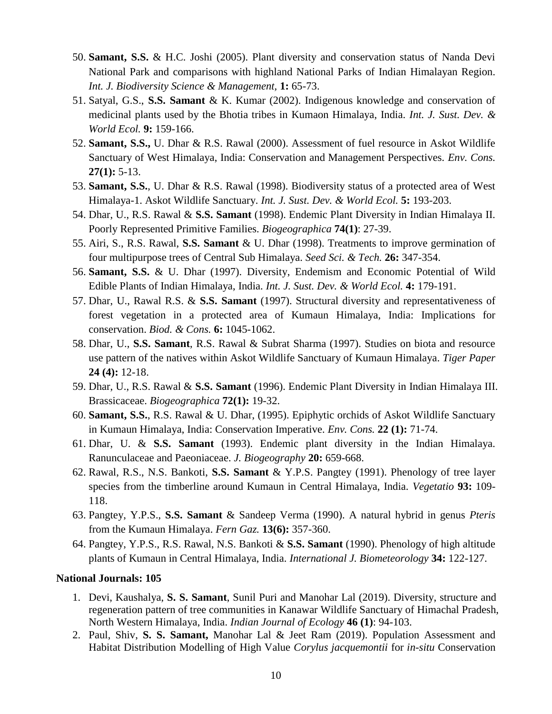- 50. **Samant, S.S.** & H.C. Joshi (2005). Plant diversity and conservation status of Nanda Devi National Park and comparisons with highland National Parks of Indian Himalayan Region. *Int. J. Biodiversity Science & Management,* **1:** 65-73.
- 51. Satyal, G.S., **S.S. Samant** & K. Kumar (2002). Indigenous knowledge and conservation of medicinal plants used by the Bhotia tribes in Kumaon Himalaya, India. *Int. J. Sust. Dev. & World Ecol.* **9:** 159-166.
- 52. **Samant, S.S.,** U. Dhar & R.S. Rawal (2000). Assessment of fuel resource in Askot Wildlife Sanctuary of West Himalaya, India: Conservation and Management Perspectives. *Env. Cons.*  **27(1):** 5-13.
- 53. **Samant, S.S.**, U. Dhar & R.S. Rawal (1998). Biodiversity status of a protected area of West Himalaya-1. Askot Wildlife Sanctuary. *Int. J. Sust. Dev. & World Ecol.* **5:** 193-203.
- 54. Dhar, U., R.S. Rawal & **S.S. Samant** (1998). Endemic Plant Diversity in Indian Himalaya II. Poorly Represented Primitive Families. *Biogeographica* **74(1)**: 27-39.
- 55. Airi, S., R.S. Rawal, **S.S. Samant** & U. Dhar (1998). Treatments to improve germination of four multipurpose trees of Central Sub Himalaya. *Seed Sci. & Tech.* **26:** 347-354.
- 56. **Samant, S.S.** & U. Dhar (1997). Diversity, Endemism and Economic Potential of Wild Edible Plants of Indian Himalaya, India. *Int. J. Sust. Dev. & World Ecol.* **4:** 179-191.
- 57. Dhar, U., Rawal R.S. & **S.S. Samant** (1997). Structural diversity and representativeness of forest vegetation in a protected area of Kumaun Himalaya, India: Implications for conservation. *Biod. & Cons.* **6:** 1045-1062.
- 58. Dhar, U., **S.S. Samant**, R.S. Rawal & Subrat Sharma (1997). Studies on biota and resource use pattern of the natives within Askot Wildlife Sanctuary of Kumaun Himalaya. *Tiger Paper* **24 (4):** 12-18.
- 59. Dhar, U., R.S. Rawal & **S.S. Samant** (1996). Endemic Plant Diversity in Indian Himalaya III. Brassicaceae. *Biogeographica* **72(1):** 19-32.
- 60. **Samant, S.S.**, R.S. Rawal & U. Dhar, (1995). Epiphytic orchids of Askot Wildlife Sanctuary in Kumaun Himalaya, India: Conservation Imperative. *Env. Cons.* **22 (1):** 71-74.
- 61. Dhar, U. & **S.S. Samant** (1993). Endemic plant diversity in the Indian Himalaya. Ranunculaceae and Paeoniaceae. *J. Biogeography* **20:** 659-668.
- 62. Rawal, R.S., N.S. Bankoti, **S.S. Samant** & Y.P.S. Pangtey (1991). Phenology of tree layer species from the timberline around Kumaun in Central Himalaya, India. *Vegetatio* **93:** 109- 118.
- 63. Pangtey, Y.P.S., **S.S. Samant** & Sandeep Verma (1990). A natural hybrid in genus *Pteris*  from the Kumaun Himalaya. *Fern Gaz.* **13(6):** 357-360.
- 64. Pangtey, Y.P.S., R.S. Rawal, N.S. Bankoti & **S.S. Samant** (1990). Phenology of high altitude plants of Kumaun in Central Himalaya, India. *International J. Biometeorology* **34:** 122-127.

#### **National Journals: 105**

- 1. Devi, Kaushalya, **S. S. Samant**, Sunil Puri and Manohar Lal (2019). Diversity, structure and regeneration pattern of tree communities in Kanawar Wildlife Sanctuary of Himachal Pradesh, North Western Himalaya, India. *Indian Journal of Ecology* **46 (1)**: 94-103.
- 2. Paul, Shiv, **S. S. Samant,** Manohar Lal & Jeet Ram (2019). Population Assessment and Habitat Distribution Modelling of High Value *Corylus jacquemontii* for *in-situ* Conservation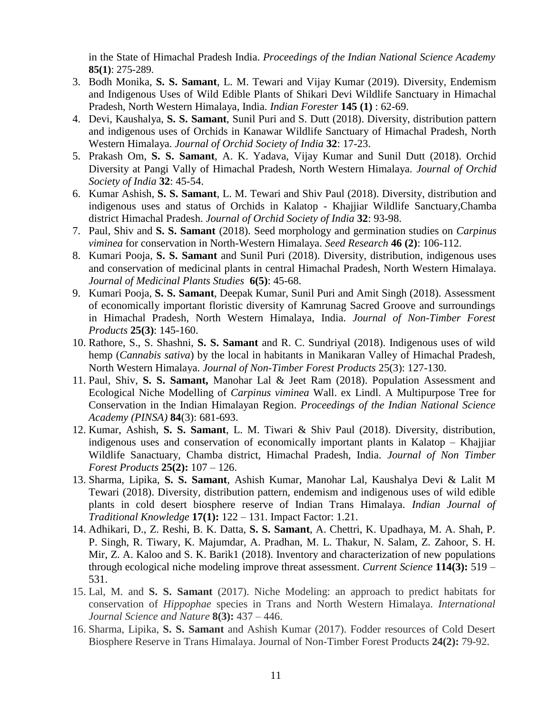in the State of Himachal Pradesh India. *Proceedings of the Indian National Science Academy* **85(1)**: 275-289.

- 3. Bodh Monika, **S. S. Samant**, L. M. Tewari and Vijay Kumar (2019). Diversity, Endemism and Indigenous Uses of Wild Edible Plants of Shikari Devi Wildlife Sanctuary in Himachal Pradesh, North Western Himalaya, India. *Indian Forester* **145 (1)** : 62-69.
- 4. Devi, Kaushalya, **S. S. Samant**, Sunil Puri and S. Dutt (2018). Diversity, distribution pattern and indigenous uses of Orchids in Kanawar Wildlife Sanctuary of Himachal Pradesh, North Western Himalaya. *Journal of Orchid Society of India* **32**: 17-23.
- 5. Prakash Om, **S. S. Samant**, A. K. Yadava, Vijay Kumar and Sunil Dutt (2018). Orchid Diversity at Pangi Vally of Himachal Pradesh, North Western Himalaya. *Journal of Orchid Society of India* **32**: 45-54.
- 6. Kumar Ashish, **S. S. Samant**, L. M. Tewari and Shiv Paul (2018). Diversity, distribution and indigenous uses and status of Orchids in Kalatop - Khajjiar Wildlife Sanctuary,Chamba district Himachal Pradesh. *Journal of Orchid Society of India* **32**: 93-98.
- 7. Paul, Shiv and **S. S. Samant** (2018). Seed morphology and germination studies on *Carpinus viminea* for conservation in North-Western Himalaya. *Seed Research* **46 (2)**: 106-112.
- 8. Kumari Pooja, **S. S. Samant** and Sunil Puri (2018). Diversity, distribution, indigenous uses and conservation of medicinal plants in central Himachal Pradesh, North Western Himalaya. *Journal of Medicinal Plants Studies* **6(5)**: 45-68.
- 9. Kumari Pooja, **S. S. Samant**, Deepak Kumar, Sunil Puri and Amit Singh (2018). Assessment of economically important floristic diversity of Kamrunag Sacred Groove and surroundings in Himachal Pradesh, North Western Himalaya, India. *Journal of Non-Timber Forest Products* **25(3)**: 145-160.
- 10. Rathore, S., S. Shashni, **S. S. Samant** and R. C. Sundriyal (2018). Indigenous uses of wild hemp (*Cannabis sativa*) by the local in habitants in Manikaran Valley of Himachal Pradesh, North Western Himalaya. *Journal of Non-Timber Forest Products* 25(3): 127-130.
- 11. Paul, Shiv, **S. S. Samant,** Manohar Lal & Jeet Ram (2018). Population Assessment and Ecological Niche Modelling of *Carpinus viminea* Wall. ex Lindl. A Multipurpose Tree for Conservation in the Indian Himalayan Region. *Proceedings of the Indian National Science Academy (PINSA)* **84**(3): 681-693.
- 12. Kumar, Ashish, **S. S. Samant**, L. M. Tiwari & Shiv Paul (2018). Diversity, distribution, indigenous uses and conservation of economically important plants in Kalatop – Khajjiar Wildlife Sanactuary, Chamba district, Himachal Pradesh, India. *Journal of Non Timber Forest Products* **25(2):** 107 – 126.
- 13. Sharma, Lipika, **S. S. Samant**, Ashish Kumar, Manohar Lal, Kaushalya Devi & Lalit M Tewari (2018). Diversity, distribution pattern, endemism and indigenous uses of wild edible plants in cold desert biosphere reserve of Indian Trans Himalaya. *Indian Journal of Traditional Knowledge* **17(1):** 122 – 131. Impact Factor: 1.21.
- 14. Adhikari, D., Z. Reshi, B. K. Datta, **S. S. Samant**, A. Chettri, K. Upadhaya, M. A. Shah, P. P. Singh, R. Tiwary, K. Majumdar, A. Pradhan, M. L. Thakur, N. Salam, Z. Zahoor, S. H. Mir, Z. A. Kaloo and S. K. Barik1 (2018). Inventory and characterization of new populations through ecological niche modeling improve threat assessment. *Current Science* **114(3):** 519 – 531.
- 15. Lal, M. and **S. S. Samant** (2017). Niche Modeling: an approach to predict habitats for conservation of *Hippophae* species in Trans and North Western Himalaya. *International Journal Science and Nature* **8(3):** 437 – 446.
- 16. Sharma, Lipika, **S. S. Samant** and Ashish Kumar (2017). Fodder resources of Cold Desert Biosphere Reserve in Trans Himalaya. Journal of Non-Timber Forest Products **24(2):** 79-92.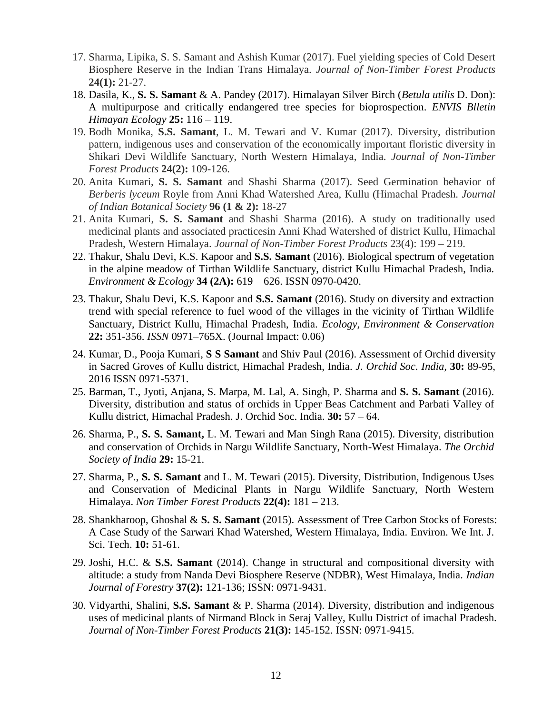- 17. Sharma, Lipika, S. S. Samant and Ashish Kumar (2017). Fuel yielding species of Cold Desert Biosphere Reserve in the Indian Trans Himalaya. *Journal of Non-Timber Forest Products*  **24(1):** 21-27.
- 18. Dasila, K., **S. S. Samant** & A. Pandey (2017). Himalayan Silver Birch (*Betula utilis* D. Don): A multipurpose and critically endangered tree species for bioprospection. *ENVIS Blletin Himayan Ecology* **25:** 116 – 119.
- 19. Bodh Monika, **S.S. Samant**, L. M. Tewari and V. Kumar (2017). Diversity, distribution pattern, indigenous uses and conservation of the economically important floristic diversity in Shikari Devi Wildlife Sanctuary, North Western Himalaya, India. *Journal of Non-Timber Forest Products* **24(2):** 109-126.
- 20. Anita Kumari, **S. S. Samant** and Shashi Sharma (2017). Seed Germination behavior of *Berberis lyceum* Royle from Anni Khad Watershed Area, Kullu (Himachal Pradesh. *Journal of Indian Botanical Society* **96 (1 & 2):** 18-27
- 21. Anita Kumari, **S. S. Samant** and Shashi Sharma (2016). A study on traditionally used medicinal plants and associated practicesin Anni Khad Watershed of district Kullu, Himachal Pradesh, Western Himalaya. *Journal of Non-Timber Forest Products* 23(4): 199 – 219.
- 22. Thakur, Shalu Devi, K.S. Kapoor and **S.S. Samant** (2016). Biological spectrum of vegetation in the alpine meadow of Tirthan Wildlife Sanctuary, district Kullu Himachal Pradesh, India. *Environment & Ecology* **34 (2A):** 619 – 626. ISSN 0970-0420.
- 23. Thakur, Shalu Devi, K.S. Kapoor and **S.S. Samant** (2016). Study on diversity and extraction trend with special reference to fuel wood of the villages in the vicinity of Tirthan Wildlife Sanctuary, District Kullu, Himachal Pradesh, India. *Ecology, Environment & Conservation*  **22:** 351-356. *ISSN* 0971–765X. (Journal Impact: 0.06)
- 24. Kumar, D., Pooja Kumari, **S S Samant** and Shiv Paul (2016). Assessment of Orchid diversity in Sacred Groves of Kullu district, Himachal Pradesh, India. *J. Orchid Soc. India,* **30:** 89-95, 2016 ISSN 0971-5371.
- 25. Barman, T., Jyoti, Anjana, S. Marpa, M. Lal, A. Singh, P. Sharma and **S. S. Samant** (2016). Diversity, distribution and status of orchids in Upper Beas Catchment and Parbati Valley of Kullu district, Himachal Pradesh. J. Orchid Soc. India. **30:** 57 – 64.
- 26. Sharma, P., **S. S. Samant,** L. M. Tewari and Man Singh Rana (2015). Diversity, distribution and conservation of Orchids in Nargu Wildlife Sanctuary, North-West Himalaya. *The Orchid Society of India* **29:** 15-21.
- 27. Sharma, P., **S. S. Samant** and L. M. Tewari (2015). Diversity, Distribution, Indigenous Uses and Conservation of Medicinal Plants in Nargu Wildlife Sanctuary, North Western Himalaya. *Non Timber Forest Products* **22(4):** 181 – 213.
- 28. Shankharoop, Ghoshal & **S. S. Samant** (2015). Assessment of Tree Carbon Stocks of Forests: A Case Study of the Sarwari Khad Watershed, Western Himalaya, India. Environ. We Int. J. Sci. Tech. **10:** 51-61.
- 29. Joshi, H.C. & **S.S. Samant** (2014). Change in structural and compositional diversity with altitude: a study from Nanda Devi Biosphere Reserve (NDBR), West Himalaya, India. *Indian Journal of Forestry* **37(2):** 121-136; ISSN: 0971-9431.
- 30. Vidyarthi, Shalini, **S.S. Samant** & P. Sharma (2014). Diversity, distribution and indigenous uses of medicinal plants of Nirmand Block in Seraj Valley, Kullu District of imachal Pradesh. *Journal of Non-Timber Forest Products* **21(3):** 145-152. ISSN: 0971-9415.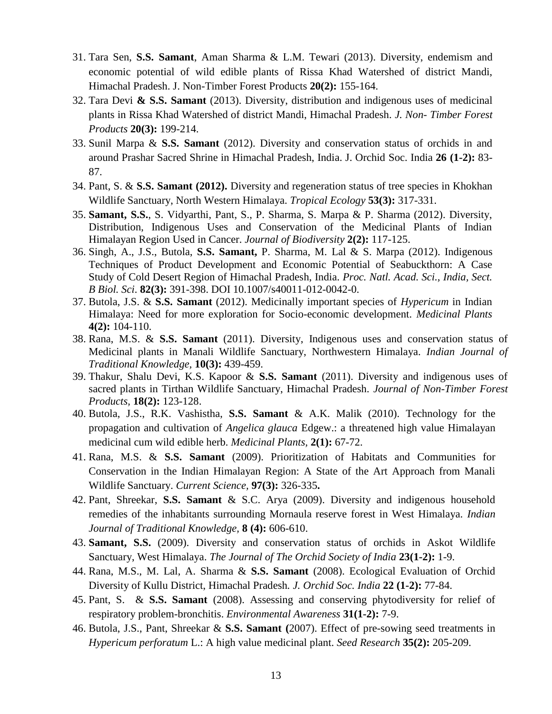- 31. Tara Sen, **S.S. Samant**, Aman Sharma & L.M. Tewari (2013). Diversity, endemism and economic potential of wild edible plants of Rissa Khad Watershed of district Mandi, Himachal Pradesh. J. Non-Timber Forest Products **20(2):** 155-164.
- 32. Tara Devi **& S.S. Samant** (2013). Diversity, distribution and indigenous uses of medicinal plants in Rissa Khad Watershed of district Mandi, Himachal Pradesh. *J. Non- Timber Forest Products* **20(3):** 199-214.
- 33. Sunil Marpa & **S.S. Samant** (2012). Diversity and conservation status of orchids in and around Prashar Sacred Shrine in Himachal Pradesh, India. J. Orchid Soc. India **26 (1-2):** 83- 87.
- 34. Pant, S. & **S.S. Samant (2012).** Diversity and regeneration status of tree species in Khokhan Wildlife Sanctuary, North Western Himalaya. *Tropical Ecology* **53(3):** 317-331.
- 35. **Samant, S.S.**, S. Vidyarthi, Pant, S., P. Sharma, S. Marpa & P. Sharma (2012). Diversity, Distribution, Indigenous Uses and Conservation of the Medicinal Plants of Indian Himalayan Region Used in Cancer. *Journal of Biodiversity* **2(2):** 117-125.
- 36. Singh, A., J.S., Butola, **S.S. Samant,** P. Sharma, M. Lal & S. Marpa (2012). Indigenous Techniques of Product Development and Economic Potential of Seabuckthorn: A Case Study of Cold Desert Region of Himachal Pradesh, India. *Proc. Natl. Acad. Sci., India, Sect. B Biol. Sci*. **82(3):** 391-398. DOI 10.1007/s40011-012-0042-0.
- 37. Butola, J.S. & **S.S. Samant** (2012). Medicinally important species of *Hypericum* in Indian Himalaya: Need for more exploration for Socio-economic development. *Medicinal Plants* **4(2):** 104-110.
- 38. Rana, M.S. & **S.S. Samant** (2011). Diversity, Indigenous uses and conservation status of Medicinal plants in Manali Wildlife Sanctuary, Northwestern Himalaya. *Indian Journal of Traditional Knowledge,* **10(3):** 439-459.
- 39. Thakur, Shalu Devi, K.S. Kapoor & **S.S. Samant** (2011). Diversity and indigenous uses of sacred plants in Tirthan Wildlife Sanctuary, Himachal Pradesh. *Journal of Non-Timber Forest Products,* **18(2):** 123-128.
- 40. Butola, J.S., R.K. Vashistha, **S.S. Samant** & A.K. Malik (2010). Technology for the propagation and cultivation of *Angelica glauca* Edgew.: a threatened high value Himalayan medicinal cum wild edible herb. *Medicinal Plants,* **2(1):** 67-72.
- 41. Rana, M.S. & **S.S. Samant** (2009). Prioritization of Habitats and Communities for Conservation in the Indian Himalayan Region: A State of the Art Approach from Manali Wildlife Sanctuary. *Current Science,* **97(3):** 326-335**.**
- 42. Pant, Shreekar, **S.S. Samant** & S.C. Arya (2009). Diversity and indigenous household remedies of the inhabitants surrounding Mornaula reserve forest in West Himalaya. *Indian Journal of Traditional Knowledge,* **8 (4):** 606-610.
- 43. **Samant, S.S.** (2009). Diversity and conservation status of orchids in Askot Wildlife Sanctuary, West Himalaya. *The Journal of The Orchid Society of India* **23(1-2):** 1-9.
- 44. Rana, M.S., M. Lal, A. Sharma & **S.S. Samant** (2008). Ecological Evaluation of Orchid Diversity of Kullu District, Himachal Pradesh*. J. Orchid Soc. India* **22 (1-2):** 77-84.
- 45. Pant, S. & **S.S. Samant** (2008). Assessing and conserving phytodiversity for relief of respiratory problem-bronchitis. *Environmental Awareness* **31(1-2):** 7-9.
- 46. Butola, J.S., Pant, Shreekar & **S.S. Samant (**2007). Effect of pre-sowing seed treatments in *Hypericum perforatum* L.: A high value medicinal plant. *Seed Research* **35(2):** 205-209.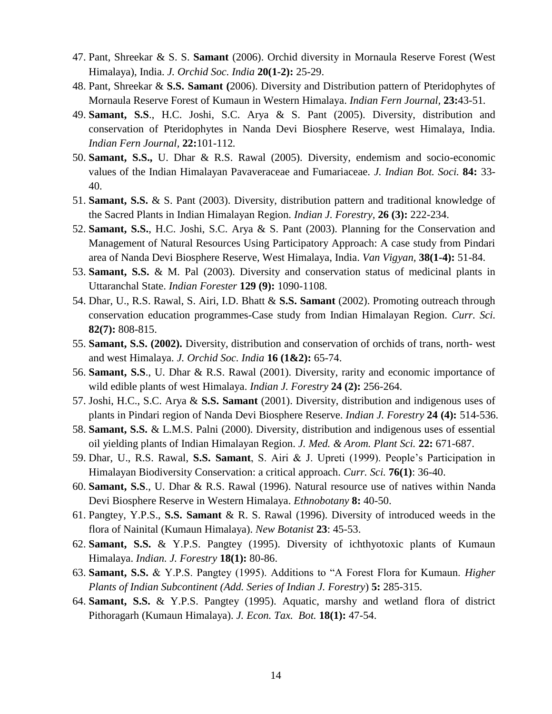- 47. Pant, Shreekar & S. S. **Samant** (2006). Orchid diversity in Mornaula Reserve Forest (West Himalaya), India. *J. Orchid Soc. India* **20(1-2):** 25-29.
- 48. Pant, Shreekar & **S.S. Samant (**2006). Diversity and Distribution pattern of Pteridophytes of Mornaula Reserve Forest of Kumaun in Western Himalaya. *Indian Fern Journal,* **23:**43-51*.*
- 49. **Samant, S.S**., H.C. Joshi, S.C. Arya & S. Pant (2005). Diversity, distribution and conservation of Pteridophytes in Nanda Devi Biosphere Reserve, west Himalaya, India. *Indian Fern Journal,* **22:**101-112*.*
- 50. **Samant, S.S.,** U. Dhar & R.S. Rawal (2005). Diversity, endemism and socio-economic values of the Indian Himalayan Pavaveraceae and Fumariaceae. *J. Indian Bot. Soci.* **84:** 33- 40.
- 51. **Samant, S.S.** & S. Pant (2003). Diversity, distribution pattern and traditional knowledge of the Sacred Plants in Indian Himalayan Region. *Indian J. Forestry,* **26 (3):** 222-234.
- 52. **Samant, S.S.**, H.C. Joshi, S.C. Arya & S. Pant (2003). Planning for the Conservation and Management of Natural Resources Using Participatory Approach: A case study from Pindari area of Nanda Devi Biosphere Reserve, West Himalaya, India. *Van Vigyan,* **38(1-4):** 51-84.
- 53. **Samant, S.S.** & M. Pal (2003). Diversity and conservation status of medicinal plants in Uttaranchal State. *Indian Forester* **129 (9):** 1090-1108.
- 54. Dhar, U., R.S. Rawal, S. Airi, I.D. Bhatt & **S.S. Samant** (2002). Promoting outreach through conservation education programmes-Case study from Indian Himalayan Region. *Curr. Sci.*  **82(7):** 808-815.
- 55. **Samant, S.S. (2002).** Diversity, distribution and conservation of orchids of trans, north- west and west Himalaya. *J. Orchid Soc. India* **16 (1&2):** 65-74.
- 56. **Samant, S.S**., U. Dhar & R.S. Rawal (2001). Diversity, rarity and economic importance of wild edible plants of west Himalaya. *Indian J. Forestry* **24 (2):** 256-264.
- 57. Joshi, H.C., S.C. Arya & **S.S. Samant** (2001). Diversity, distribution and indigenous uses of plants in Pindari region of Nanda Devi Biosphere Reserve. *Indian J. Forestry* **24 (4):** 514-536.
- 58. **Samant, S.S.** & L.M.S. Palni (2000). Diversity, distribution and indigenous uses of essential oil yielding plants of Indian Himalayan Region. *J. Med. & Arom. Plant Sci.* **22:** 671-687.
- 59. Dhar, U., R.S. Rawal, **S.S. Samant**, S. Airi & J. Upreti (1999). People's Participation in Himalayan Biodiversity Conservation: a critical approach. *Curr. Sci.* **76(1)**: 36-40.
- 60. **Samant, S.S**., U. Dhar & R.S. Rawal (1996). Natural resource use of natives within Nanda Devi Biosphere Reserve in Western Himalaya. *Ethnobotany* **8:** 40-50.
- 61. Pangtey, Y.P.S., **S.S. Samant** & R. S. Rawal (1996). Diversity of introduced weeds in the flora of Nainital (Kumaun Himalaya). *New Botanist* **23**: 45-53.
- 62. **Samant, S.S.** & Y.P.S. Pangtey (1995). Diversity of ichthyotoxic plants of Kumaun Himalaya. *Indian. J. Forestry* **18(1):** 80-86.
- 63. **Samant, S.S.** & Y.P.S. Pangtey (1995). Additions to "A Forest Flora for Kumaun. *Higher Plants of Indian Subcontinent (Add. Series of Indian J. Forestry*) **5:** 285-315.
- 64. **Samant, S.S.** & Y.P.S. Pangtey (1995). Aquatic, marshy and wetland flora of district Pithoragarh (Kumaun Himalaya). *J. Econ. Tax. Bot.* **18(1):** 47-54.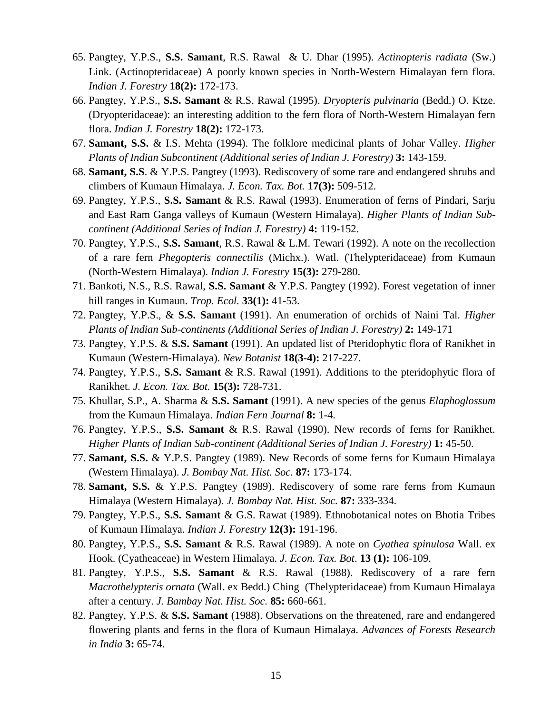- 65. Pangtey, Y.P.S., **S.S. Samant**, R.S. Rawal & U. Dhar (1995). *Actinopteris radiata* (Sw.) Link. (Actinopteridaceae) A poorly known species in North-Western Himalayan fern flora. *Indian J. Forestry* **18(2):** 172-173.
- 66. Pangtey, Y.P.S., **S.S. Samant** & R.S. Rawal (1995). *Dryopteris pulvinaria* (Bedd.) O. Ktze. (Dryopteridaceae): an interesting addition to the fern flora of North-Western Himalayan fern flora. *Indian J. Forestry* **18(2):** 172-173.
- 67. **Samant, S.S.** & I.S. Mehta (1994). The folklore medicinal plants of Johar Valley. *Higher Plants of Indian Subcontinent (Additional series of Indian J. Forestry)* **3:** 143-159.
- 68. **Samant, S.S**. & Y.P.S. Pangtey (1993). Rediscovery of some rare and endangered shrubs and climbers of Kumaun Himalaya. *J. Econ. Tax. Bot.* **17(3):** 509-512.
- 69. Pangtey, Y.P.S., **S.S. Samant** & R.S. Rawal (1993). Enumeration of ferns of Pindari, Sarju and East Ram Ganga valleys of Kumaun (Western Himalaya). *Higher Plants of Indian Subcontinent (Additional Series of Indian J. Forestry)* **4:** 119-152.
- 70. Pangtey, Y.P.S., **S.S. Samant**, R.S. Rawal & L.M. Tewari (1992). A note on the recollection of a rare fern *Phegopteris connectilis* (Michx.). Watl. (Thelypteridaceae) from Kumaun (North-Western Himalaya). *Indian J. Forestry* **15(3):** 279-280.
- 71. Bankoti, N.S., R.S. Rawal, **S.S. Samant** & Y.P.S. Pangtey (1992). Forest vegetation of inner hill ranges in Kumaun. *Trop. Ecol.* **33(1):** 41-53.
- 72. Pangtey, Y.P.S., & **S.S. Samant** (1991). An enumeration of orchids of Naini Tal. *Higher Plants of Indian Sub-continents (Additional Series of Indian J. Forestry)* **2:** 149-171
- 73. Pangtey, Y.P.S. & **S.S. Samant** (1991). An updated list of Pteridophytic flora of Ranikhet in Kumaun (Western-Himalaya). *New Botanist* **18(3-4):** 217-227.
- 74. Pangtey, Y.P.S., **S.S. Samant** & R.S. Rawal (1991). Additions to the pteridophytic flora of Ranikhet. *J. Econ. Tax. Bot.* **15(3):** 728-731.
- 75. Khullar, S.P., A. Sharma & **S.S. Samant** (1991). A new species of the genus *Elaphoglossum* from the Kumaun Himalaya. *Indian Fern Journal* **8:** 1-4.
- 76. Pangtey, Y.P.S., **S.S. Samant** & R.S. Rawal (1990). New records of ferns for Ranikhet. *Higher Plants of Indian Sub-continent (Additional Series of Indian J. Forestry)* **1:** 45-50.
- 77. **Samant, S.S.** & Y.P.S. Pangtey (1989). New Records of some ferns for Kumaun Himalaya (Western Himalaya). *J. Bombay Nat. Hist. Soc.* **87:** 173-174.
- 78. **Samant, S.S.** & Y.P.S. Pangtey (1989). Rediscovery of some rare ferns from Kumaun Himalaya (Western Himalaya). *J. Bombay Nat. Hist. Soc.* **87:** 333-334.
- 79. Pangtey, Y.P.S., **S.S. Samant** & G.S. Rawat (1989). Ethnobotanical notes on Bhotia Tribes of Kumaun Himalaya. *Indian J. Forestry* **12(3):** 191-196.
- 80. Pangtey, Y.P.S., **S.S. Samant** & R.S. Rawal (1989). A note on *Cyathea spinulosa* Wall. ex Hook. (Cyatheaceae) in Western Himalaya. *J. Econ. Tax. Bot*. **13 (1):** 106-109.
- 81. Pangtey, Y.P.S., **S.S. Samant** & R.S. Rawal (1988). Rediscovery of a rare fern *Macrothelypteris ornata* (Wall. ex Bedd.) Ching (Thelypteridaceae) from Kumaun Himalaya after a century. *J. Bambay Nat. Hist. Soc.* **85:** 660-661.
- 82. Pangtey, Y.P.S. & **S.S. Samant** (1988). Observations on the threatened, rare and endangered flowering plants and ferns in the flora of Kumaun Himalaya. *Advances of Forests Research in India* **3:** 65-74.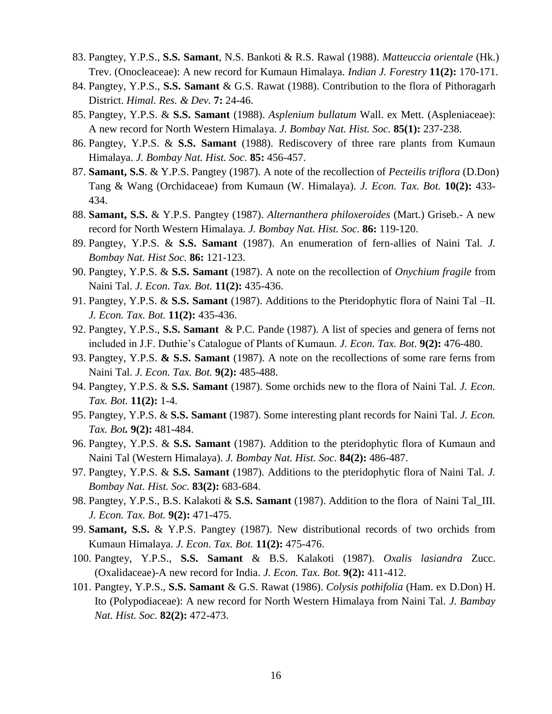- 83. Pangtey, Y.P.S., **S.S. Samant**, N.S. Bankoti & R.S. Rawal (1988). *Matteuccia orientale* (Hk.) Trev. (Onocleaceae): A new record for Kumaun Himalaya. *Indian J. Forestry* **11(2):** 170-171.
- 84. Pangtey, Y.P.S., **S.S. Samant** & G.S. Rawat (1988). Contribution to the flora of Pithoragarh District. *Himal. Res. & Dev.* **7:** 24-46.
- 85. Pangtey, Y.P.S. & **S.S. Samant** (1988). *Asplenium bullatum* Wall. ex Mett. (Aspleniaceae): A new record for North Western Himalaya. *J. Bombay Nat. Hist. Soc.* **85(1):** 237-238.
- 86. Pangtey, Y.P.S. & **S.S. Samant** (1988). Rediscovery of three rare plants from Kumaun Himalaya. *J. Bombay Nat. Hist. Soc.* **85:** 456-457.
- 87. **Samant, S.S**. & Y.P.S. Pangtey (1987). A note of the recollection of *Pecteilis triflora* (D.Don) Tang & Wang (Orchidaceae) from Kumaun (W. Himalaya). *J. Econ. Tax. Bot.* **10(2):** 433- 434.
- 88. **Samant, S.S.** & Y.P.S. Pangtey (1987). *Alternanthera philoxeroides* (Mart.) Griseb.- A new record for North Western Himalaya. *J. Bombay Nat. Hist. Soc.* **86:** 119-120.
- 89. Pangtey, Y.P.S. & **S.S. Samant** (1987). An enumeration of fern-allies of Naini Tal*. J. Bombay Nat. Hist Soc.* **86:** 121-123.
- 90. Pangtey, Y.P.S. & **S.S. Samant** (1987). A note on the recollection of *Onychium fragile* from Naini Tal. *J. Econ. Tax. Bot.* **11(2):** 435-436.
- 91. Pangtey, Y.P.S. & **S.S. Samant** (1987). Additions to the Pteridophytic flora of Naini Tal –II. *J. Econ. Tax. Bot.* **11(2):** 435-436.
- 92. Pangtey, Y.P.S., **S.S. Samant** & P.C. Pande (1987). A list of species and genera of ferns not included in J.F. Duthie's Catalogue of Plants of Kumaun. *J. Econ. Tax. Bot.* **9(2):** 476-480.
- 93. Pangtey, Y.P.S. **& S.S. Samant** (1987). A note on the recollections of some rare ferns from Naini Tal. *J. Econ. Tax. Bot.* **9(2):** 485-488.
- 94. Pangtey, Y.P.S. & **S.S. Samant** (1987). Some orchids new to the flora of Naini Tal. *J. Econ. Tax. Bot.* **11(2):** 1-4.
- 95. Pangtey, Y.P.S. & **S.S. Samant** (1987). Some interesting plant records for Naini Tal. *J. Econ. Tax. Bot.* **9(2):** 481-484.
- 96. Pangtey, Y.P.S. & **S.S. Samant** (1987). Addition to the pteridophytic flora of Kumaun and Naini Tal (Western Himalaya). *J. Bombay Nat. Hist. Soc.* **84(2):** 486-487.
- 97. Pangtey, Y.P.S. & **S.S. Samant** (1987). Additions to the pteridophytic flora of Naini Tal. *J. Bombay Nat. Hist. Soc.* **83(2):** 683-684.
- 98. Pangtey, Y.P.S., B.S. Kalakoti & **S.S. Samant** (1987). Addition to the flora of Naini Tal\_III. *J. Econ. Tax. Bot.* **9(2):** 471-475.
- 99. **Samant, S.S.** & Y.P.S. Pangtey (1987). New distributional records of two orchids from Kumaun Himalaya. *J. Econ. Tax. Bot.* **11(2):** 475-476.
- 100. Pangtey, Y.P.S., **S.S. Samant** & B.S. Kalakoti (1987). *Oxalis lasiandra* Zucc. (Oxalidaceae)-A new record for India. *J. Econ. Tax. Bot.* **9(2):** 411-412.
- 101. Pangtey, Y.P.S., **S.S. Samant** & G.S. Rawat (1986). *Colysis pothifolia* (Ham. ex D.Don) H. Ito (Polypodiaceae): A new record for North Western Himalaya from Naini Tal. *J. Bambay Nat. Hist. Soc.* **82(2):** 472-473.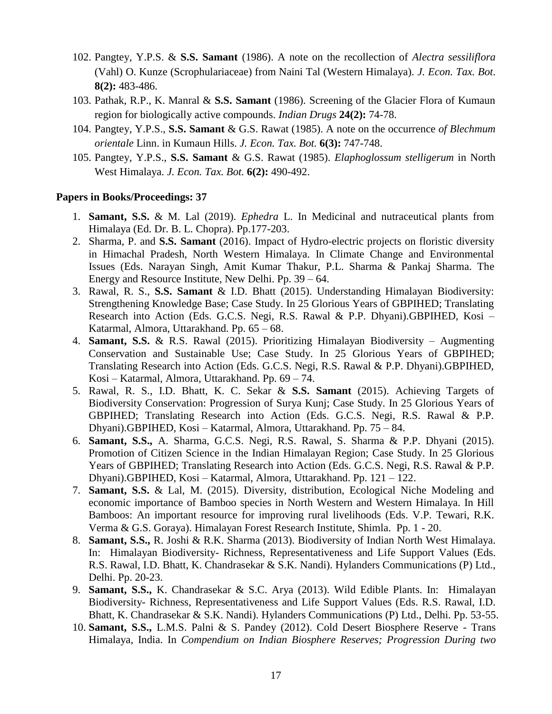- 102. Pangtey, Y.P.S. & **S.S. Samant** (1986). A note on the recollection of *Alectra sessiliflora* (Vahl) O. Kunze (Scrophulariaceae) from Naini Tal (Western Himalaya). *J. Econ. Tax. Bot*. **8(2):** 483-486.
- 103. Pathak, R.P., K. Manral & **S.S. Samant** (1986). Screening of the Glacier Flora of Kumaun region for biologically active compounds. *Indian Drugs* **24(2):** 74-78.
- 104. Pangtey, Y.P.S., **S.S. Samant** & G.S. Rawat (1985). A note on the occurrence *of Blechmum orientale* Linn. in Kumaun Hills. *J. Econ. Tax. Bot.* **6(3):** 747-748.
- 105. Pangtey, Y.P.S., **S.S. Samant** & G.S. Rawat (1985). *Elaphoglossum stelligerum* in North West Himalaya. *J. Econ. Tax. Bot.* **6(2):** 490-492.

### **Papers in Books/Proceedings: 37**

- 1. **Samant, S.S.** & M. Lal (2019). *Ephedra* L. In Medicinal and nutraceutical plants from Himalaya (Ed. Dr. B. L. Chopra). Pp.177-203.
- 2. Sharma, P. and **S.S. Samant** (2016). Impact of Hydro-electric projects on floristic diversity in Himachal Pradesh, North Western Himalaya. In Climate Change and Environmental Issues (Eds. Narayan Singh, Amit Kumar Thakur, P.L. Sharma & Pankaj Sharma. The Energy and Resource Institute, New Delhi. Pp. 39 – 64.
- 3. Rawal, R. S., **S.S. Samant** & I.D. Bhatt (2015). Understanding Himalayan Biodiversity: Strengthening Knowledge Base; Case Study. In 25 Glorious Years of GBPIHED; Translating Research into Action (Eds. G.C.S. Negi, R.S. Rawal & P.P. Dhyani).GBPIHED, Kosi – Katarmal, Almora, Uttarakhand. Pp. 65 – 68.
- 4. **Samant, S.S.** & R.S. Rawal (2015). Prioritizing Himalayan Biodiversity Augmenting Conservation and Sustainable Use; Case Study. In 25 Glorious Years of GBPIHED; Translating Research into Action (Eds. G.C.S. Negi, R.S. Rawal & P.P. Dhyani).GBPIHED, Kosi – Katarmal, Almora, Uttarakhand. Pp. 69 – 74.
- 5. Rawal, R. S., I.D. Bhatt, K. C. Sekar & **S.S. Samant** (2015). Achieving Targets of Biodiversity Conservation: Progression of Surya Kunj; Case Study. In 25 Glorious Years of GBPIHED; Translating Research into Action (Eds. G.C.S. Negi, R.S. Rawal & P.P. Dhyani).GBPIHED, Kosi – Katarmal, Almora, Uttarakhand. Pp. 75 – 84.
- 6. **Samant, S.S.,** A. Sharma, G.C.S. Negi, R.S. Rawal, S. Sharma & P.P. Dhyani (2015). Promotion of Citizen Science in the Indian Himalayan Region; Case Study. In 25 Glorious Years of GBPIHED; Translating Research into Action (Eds. G.C.S. Negi, R.S. Rawal & P.P. Dhyani).GBPIHED, Kosi – Katarmal, Almora, Uttarakhand. Pp. 121 – 122.
- 7. **Samant, S.S.** & Lal, M. (2015). Diversity, distribution, Ecological Niche Modeling and economic importance of Bamboo species in North Western and Western Himalaya. In Hill Bamboos: An important resource for improving rural livelihoods (Eds. V.P. Tewari, R.K. Verma & G.S. Goraya). Himalayan Forest Research Institute, Shimla. Pp. 1 - 20.
- 8. **Samant, S.S.,** R. Joshi & R.K. Sharma (2013). Biodiversity of Indian North West Himalaya. In: Himalayan Biodiversity- Richness, Representativeness and Life Support Values (Eds. R.S. Rawal, I.D. Bhatt, K. Chandrasekar & S.K. Nandi). Hylanders Communications (P) Ltd., Delhi. Pp. 20-23.
- 9. **Samant, S.S.,** K. Chandrasekar & S.C. Arya (2013). Wild Edible Plants. In: Himalayan Biodiversity- Richness, Representativeness and Life Support Values (Eds. R.S. Rawal, I.D. Bhatt, K. Chandrasekar & S.K. Nandi). Hylanders Communications (P) Ltd., Delhi. Pp. 53-55.
- 10. **Samant, S.S.,** L.M.S. Palni & S. Pandey (2012). Cold Desert Biosphere Reserve Trans Himalaya, India. In *Compendium on Indian Biosphere Reserves; Progression During two*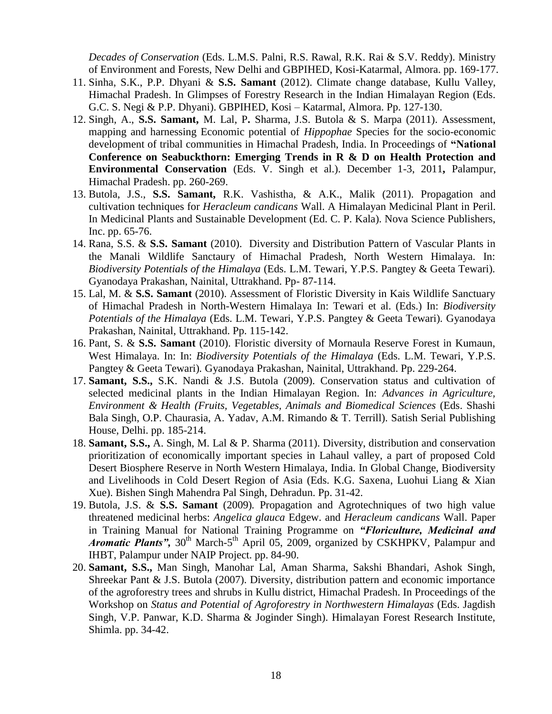*Decades of Conservation* (Eds. L.M.S. Palni, R.S. Rawal, R.K. Rai & S.V. Reddy). Ministry of Environment and Forests, New Delhi and GBPIHED, Kosi-Katarmal, Almora. pp. 169-177.

- 11. Sinha, S.K., P.P. Dhyani & **S.S. Samant** (2012). Climate change database, Kullu Valley, Himachal Pradesh. In Glimpses of Forestry Research in the Indian Himalayan Region (Eds. G.C. S. Negi & P.P. Dhyani). GBPIHED, Kosi – Katarmal, Almora. Pp. 127-130.
- 12. Singh, A., **S.S. Samant,** M. Lal, P**.** Sharma, J.S. Butola & S. Marpa (2011). Assessment, mapping and harnessing Economic potential of *Hippophae* Species for the socio-economic development of tribal communities in Himachal Pradesh, India. In Proceedings of **"National Conference on Seabuckthorn: Emerging Trends in R & D on Health Protection and Environmental Conservation** (Eds. V. Singh et al.). December 1-3, 2011**,** Palampur, Himachal Pradesh. pp. 260-269.
- 13. Butola, J.S., **S.S. Samant,** R.K. Vashistha, & A.K., Malik (2011). Propagation and cultivation techniques for *Heracleum candicans* Wall. A Himalayan Medicinal Plant in Peril. In Medicinal Plants and Sustainable Development (Ed. C. P. Kala). Nova Science Publishers, Inc. pp. 65-76.
- 14. Rana, S.S. & **S.S. Samant** (2010). Diversity and Distribution Pattern of Vascular Plants in the Manali Wildlife Sanctaury of Himachal Pradesh, North Western Himalaya. In: *Biodiversity Potentials of the Himalaya* (Eds. L.M. Tewari, Y.P.S. Pangtey & Geeta Tewari)*.*  Gyanodaya Prakashan, Nainital, Uttrakhand. Pp- 87-114.
- 15. Lal, M. & **S.S. Samant** (2010). Assessment of Floristic Diversity in Kais Wildlife Sanctuary of Himachal Pradesh in North-Western Himalaya In: Tewari et al. (Eds.) In: *Biodiversity Potentials of the Himalaya* (Eds. L.M. Tewari, Y.P.S. Pangtey & Geeta Tewari)*.* Gyanodaya Prakashan, Nainital, Uttrakhand. Pp. 115-142.
- 16. Pant, S. & **S.S. Samant** (2010). Floristic diversity of Mornaula Reserve Forest in Kumaun, West Himalaya. In: In: *Biodiversity Potentials of the Himalaya* (Eds. L.M. Tewari, Y.P.S. Pangtey & Geeta Tewari)*.* Gyanodaya Prakashan, Nainital, Uttrakhand. Pp. 229-264.
- 17. **Samant, S.S.,** S.K. Nandi & J.S. Butola (2009). Conservation status and cultivation of selected medicinal plants in the Indian Himalayan Region. In: *Advances in Agriculture, Environment & Health (Fruits, Vegetables, Animals and Biomedical Sciences* (Eds. Shashi Bala Singh, O.P. Chaurasia, A. Yadav, A.M. Rimando & T. Terrill)*.* Satish Serial Publishing House, Delhi. pp. 185-214.
- 18. **Samant, S.S.,** A. Singh, M. Lal & P. Sharma (2011). Diversity, distribution and conservation prioritization of economically important species in Lahaul valley, a part of proposed Cold Desert Biosphere Reserve in North Western Himalaya, India. In Global Change, Biodiversity and Livelihoods in Cold Desert Region of Asia (Eds. K.G. Saxena, Luohui Liang & Xian Xue). Bishen Singh Mahendra Pal Singh, Dehradun. Pp. 31-42.
- 19. Butola, J.S. & **S.S. Samant** (2009)*.* Propagation and Agrotechniques of two high value threatened medicinal herbs: *Angelica glauca* Edgew. and *Heracleum candicans* Wall. Paper in Training Manual for National Training Programme on *"Floriculture, Medicinal and Aromatic Plants"*, 30<sup>th</sup> March-5<sup>th</sup> April 05, 2009, organized by CSKHPKV, Palampur and IHBT, Palampur under NAIP Project. pp. 84-90.
- 20. **Samant, S.S.,** Man Singh, Manohar Lal, Aman Sharma, Sakshi Bhandari, Ashok Singh, Shreekar Pant & J.S. Butola (2007). Diversity, distribution pattern and economic importance of the agroforestry trees and shrubs in Kullu district, Himachal Pradesh. In Proceedings of the Workshop on *Status and Potential of Agroforestry in Northwestern Himalayas* (Eds. Jagdish Singh, V.P. Panwar, K.D. Sharma & Joginder Singh). Himalayan Forest Research Institute, Shimla. pp. 34-42.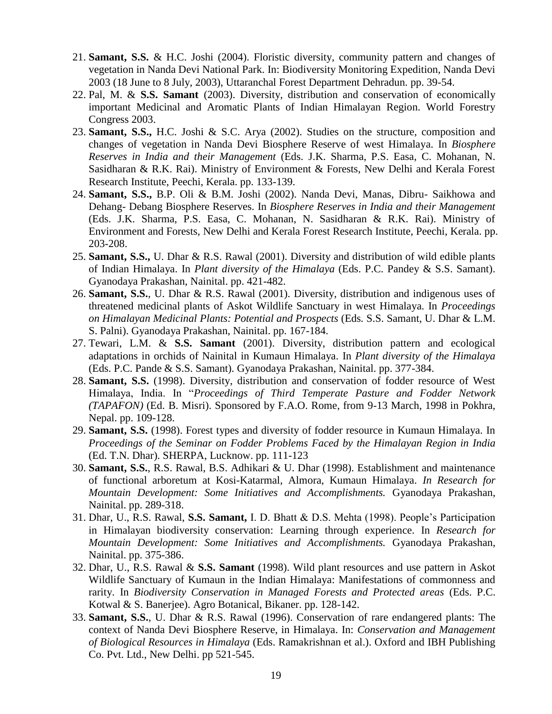- 21. **Samant, S.S.** & H.C. Joshi (2004). Floristic diversity, community pattern and changes of vegetation in Nanda Devi National Park. In: Biodiversity Monitoring Expedition, Nanda Devi 2003 (18 June to 8 July, 2003), Uttaranchal Forest Department Dehradun. pp. 39-54.
- 22. Pal, M. & **S.S. Samant** (2003). Diversity, distribution and conservation of economically important Medicinal and Aromatic Plants of Indian Himalayan Region. World Forestry Congress 2003.
- 23. **Samant, S.S.,** H.C. Joshi & S.C. Arya (2002). Studies on the structure, composition and changes of vegetation in Nanda Devi Biosphere Reserve of west Himalaya. In *Biosphere Reserves in India and their Management* (Eds. J.K. Sharma, P.S. Easa, C. Mohanan, N. Sasidharan & R.K. Rai). Ministry of Environment & Forests, New Delhi and Kerala Forest Research Institute, Peechi, Kerala. pp. 133-139.
- 24. **Samant, S.S.,** B.P. Oli & B.M. Joshi (2002). Nanda Devi, Manas, Dibru- Saikhowa and Dehang- Debang Biosphere Reserves. In *Biosphere Reserves in India and their Management* (Eds. J.K. Sharma, P.S. Easa, C. Mohanan, N. Sasidharan & R.K. Rai). Ministry of Environment and Forests, New Delhi and Kerala Forest Research Institute, Peechi, Kerala. pp. 203-208.
- 25. **Samant, S.S.,** U. Dhar & R.S. Rawal (2001). Diversity and distribution of wild edible plants of Indian Himalaya. In *Plant diversity of the Himalaya* (Eds. P.C. Pandey & S.S. Samant). Gyanodaya Prakashan, Nainital. pp. 421-482.
- 26. **Samant, S.S.**, U. Dhar & R.S. Rawal (2001). Diversity, distribution and indigenous uses of threatened medicinal plants of Askot Wildlife Sanctuary in west Himalaya. In *Proceedings on Himalayan Medicinal Plants: Potential and Prospects* (Eds*.* S.S. Samant, U. Dhar & L.M. S. Palni). Gyanodaya Prakashan, Nainital. pp. 167-184.
- 27. Tewari, L.M. & **S.S. Samant** (2001). Diversity, distribution pattern and ecological adaptations in orchids of Nainital in Kumaun Himalaya. In *Plant diversity of the Himalaya* (Eds. P.C. Pande & S.S. Samant). Gyanodaya Prakashan, Nainital. pp. 377-384.
- 28. **Samant, S.S.** (1998). Diversity, distribution and conservation of fodder resource of West Himalaya, India. In "*Proceedings of Third Temperate Pasture and Fodder Network (TAPAFON)* (Ed. B. Misri). Sponsored by F.A.O. Rome, from 9-13 March, 1998 in Pokhra, Nepal. pp. 109-128.
- 29. **Samant, S.S.** (1998). Forest types and diversity of fodder resource in Kumaun Himalaya. In *Proceedings of the Seminar on Fodder Problems Faced by the Himalayan Region in India* (Ed. T.N. Dhar). SHERPA, Lucknow. pp. 111-123
- 30. **Samant, S.S.**, R.S. Rawal, B.S. Adhikari & U. Dhar (1998). Establishment and maintenance of functional arboretum at Kosi-Katarmal, Almora, Kumaun Himalaya. *In Research for Mountain Development: Some Initiatives and Accomplishments.* Gyanodaya Prakashan, Nainital. pp. 289-318.
- 31. Dhar, U., R.S. Rawal, **S.S. Samant,** I. D. Bhatt & D.S. Mehta (1998). People's Participation in Himalayan biodiversity conservation: Learning through experience. In *Research for Mountain Development: Some Initiatives and Accomplishments.* Gyanodaya Prakashan, Nainital. pp. 375-386.
- 32. Dhar, U., R.S. Rawal & **S.S. Samant** (1998). Wild plant resources and use pattern in Askot Wildlife Sanctuary of Kumaun in the Indian Himalaya: Manifestations of commonness and rarity. In *Biodiversity Conservation in Managed Forests and Protected areas* (Eds. P.C. Kotwal & S. Banerjee). Agro Botanical, Bikaner. pp. 128-142.
- 33. **Samant, S.S.**, U. Dhar & R.S. Rawal (1996). Conservation of rare endangered plants: The context of Nanda Devi Biosphere Reserve, in Himalaya. In: *Conservation and Management of Biological Resources in Himalaya* (Eds. Ramakrishnan et al.). Oxford and IBH Publishing Co. Pvt. Ltd., New Delhi. pp 521-545.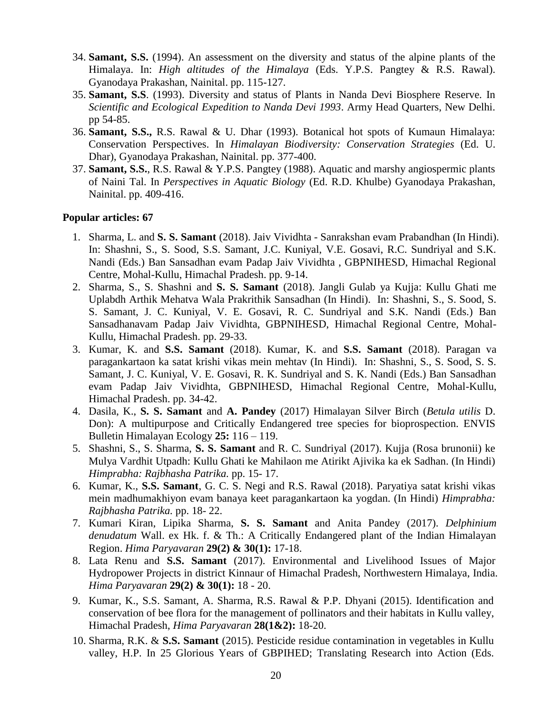- 34. **Samant, S.S.** (1994). An assessment on the diversity and status of the alpine plants of the Himalaya. In: *High altitudes of the Himalaya* (Eds. Y.P.S. Pangtey & R.S. Rawal). Gyanodaya Prakashan, Nainital. pp. 115-127.
- 35. **Samant, S.S**. (1993). Diversity and status of Plants in Nanda Devi Biosphere Reserve. In *Scientific and Ecological Expedition to Nanda Devi 1993*. Army Head Quarters, New Delhi. pp 54-85.
- 36. **Samant, S.S.,** R.S. Rawal & U. Dhar (1993). Botanical hot spots of Kumaun Himalaya: Conservation Perspectives. In *Himalayan Biodiversity: Conservation Strategies* (Ed. U. Dhar), Gyanodaya Prakashan, Nainital. pp. 377-400.
- 37. **Samant, S.S.**, R.S. Rawal & Y.P.S. Pangtey (1988). Aquatic and marshy angiospermic plants of Naini Tal. In *Perspectives in Aquatic Biology* (Ed. R.D. Khulbe) Gyanodaya Prakashan, Nainital. pp. 409-416.

#### **Popular articles: 67**

- 1. Sharma, L. and **S. S. Samant** (2018). Jaiv Vividhta Sanrakshan evam Prabandhan (In Hindi). In: Shashni, S., S. Sood, S.S. Samant, J.C. Kuniyal, V.E. Gosavi, R.C. Sundriyal and S.K. Nandi (Eds.) Ban Sansadhan evam Padap Jaiv Vividhta , GBPNIHESD, Himachal Regional Centre, Mohal-Kullu, Himachal Pradesh. pp. 9-14.
- 2. Sharma, S., S. Shashni and **S. S. Samant** (2018). Jangli Gulab ya Kujja: Kullu Ghati me Uplabdh Arthik Mehatva Wala Prakrithik Sansadhan (In Hindi). In: Shashni, S., S. Sood, S. S. Samant, J. C. Kuniyal, V. E. Gosavi, R. C. Sundriyal and S.K. Nandi (Eds.) Ban Sansadhanavam Padap Jaiv Vividhta, GBPNIHESD, Himachal Regional Centre, Mohal-Kullu, Himachal Pradesh. pp. 29-33.
- 3. Kumar, K. and **S.S. Samant** (2018). Kumar, K. and **S.S. Samant** (2018). Paragan va paragankartaon ka satat krishi vikas mein mehtav (In Hindi). In: Shashni, S., S. Sood, S. S. Samant, J. C. Kuniyal, V. E. Gosavi, R. K. Sundriyal and S. K. Nandi (Eds.) Ban Sansadhan evam Padap Jaiv Vividhta, GBPNIHESD, Himachal Regional Centre, Mohal-Kullu, Himachal Pradesh. pp. 34-42.
- 4. Dasila, K., **S. S. Samant** and **A. Pandey** (2017) Himalayan Silver Birch (*Betula utilis* D. Don): A multipurpose and Critically Endangered tree species for bioprospection. ENVIS Bulletin Himalayan Ecology **25:** 116 – 119.
- 5. Shashni, S., S. Sharma, **S. S. Samant** and R. C. Sundriyal (2017). Kujja (Rosa brunonii) ke Mulya Vardhit Utpadh: Kullu Ghati ke Mahilaon me Atirikt Ajivika ka ek Sadhan. (In Hindi) *Himprabha: Rajbhasha Patrika.* pp. 15- 17.
- 6. Kumar, K., **S.S. Samant**, G. C. S. Negi and R.S. Rawal (2018). Paryatiya satat krishi vikas mein madhumakhiyon evam banaya keet paragankartaon ka yogdan. (In Hindi) *Himprabha: Rajbhasha Patrika.* pp. 18- 22.
- 7. Kumari Kiran, Lipika Sharma, **S. S. Samant** and Anita Pandey (2017). *Delphinium denudatum* Wall. ex Hk. f. & Th.: A Critically Endangered plant of the Indian Himalayan Region. *Hima Paryavaran* **29(2) & 30(1):** 17-18.
- 8. Lata Renu and **S.S. Samant** (2017). Environmental and Livelihood Issues of Major Hydropower Projects in district Kinnaur of Himachal Pradesh, Northwestern Himalaya, India. *Hima Paryavaran* **29(2) & 30(1):** 18 - 20.
- 9. Kumar, K., S.S. Samant, A. Sharma, R.S. Rawal & P.P. Dhyani (2015). Identification and conservation of bee flora for the management of pollinators and their habitats in Kullu valley, Himachal Pradesh, *Hima Paryavaran* **28(1&2):** 18-20.
- 10. Sharma, R.K. & **S.S. Samant** (2015). Pesticide residue contamination in vegetables in Kullu valley, H.P. In 25 Glorious Years of GBPIHED; Translating Research into Action (Eds.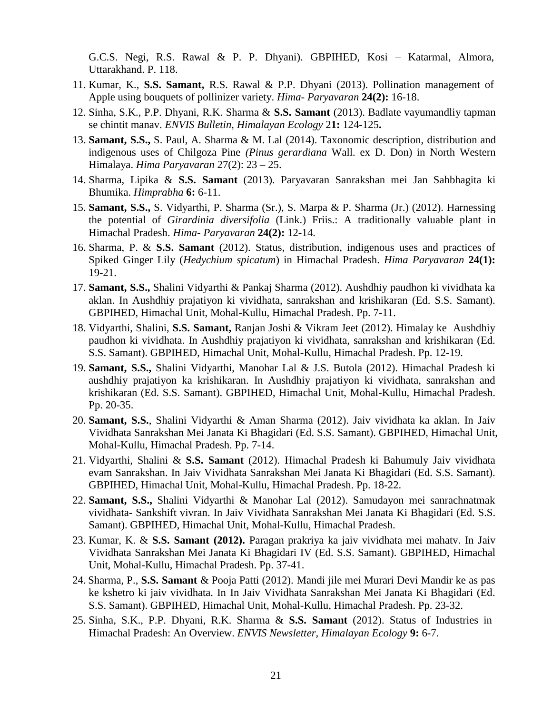G.C.S. Negi, R.S. Rawal & P. P. Dhyani). GBPIHED, Kosi – Katarmal, Almora, Uttarakhand. P. 118.

- 11. Kumar, K., **S.S. Samant,** R.S. Rawal & P.P. Dhyani (2013). Pollination management of Apple using bouquets of pollinizer variety. *Hima- Paryavaran* **24(2):** 16-18.
- 12. Sinha, S.K., P.P. Dhyani, R.K. Sharma & **S.S. Samant** (2013). Badlate vayumandliy tapman se chintit manav. *ENVIS Bulletin, Himalayan Ecology* 2**1:** 124-125**.**
- 13. **Samant, S.S.,** S. Paul, A. Sharma & M. Lal (2014). Taxonomic description, distribution and indigenous uses of Chilgoza Pine *(Pinus gerardiana* Wall. ex D. Don) in North Western Himalaya. *Hima Paryavaran* 27(2): 23 – 25.
- 14. Sharma, Lipika & **S.S. Samant** (2013). Paryavaran Sanrakshan mei Jan Sahbhagita ki Bhumika. *Himprabha* **6:** 6-11.
- 15. **Samant, S.S.,** S. Vidyarthi, P. Sharma (Sr.), S. Marpa & P. Sharma (Jr.) (2012). Harnessing the potential of *Girardinia diversifolia* (Link.) Friis.: A traditionally valuable plant in Himachal Pradesh. *Hima- Paryavaran* **24(2):** 12-14.
- 16. Sharma, P. & **S.S. Samant** (2012). Status, distribution, indigenous uses and practices of Spiked Ginger Lily (*Hedychium spicatum*) in Himachal Pradesh. *Hima Paryavaran* **24(1):** 19-21.
- 17. **Samant, S.S.,** Shalini Vidyarthi & Pankaj Sharma (2012). Aushdhiy paudhon ki vividhata ka aklan. In Aushdhiy prajatiyon ki vividhata, sanrakshan and krishikaran (Ed. S.S. Samant). GBPIHED, Himachal Unit, Mohal-Kullu, Himachal Pradesh. Pp. 7-11.
- 18. Vidyarthi, Shalini, **S.S. Samant,** Ranjan Joshi & Vikram Jeet (2012). Himalay ke Aushdhiy paudhon ki vividhata. In Aushdhiy prajatiyon ki vividhata, sanrakshan and krishikaran (Ed. S.S. Samant). GBPIHED, Himachal Unit, Mohal-Kullu, Himachal Pradesh. Pp. 12-19.
- 19. **Samant, S.S.,** Shalini Vidyarthi, Manohar Lal & J.S. Butola (2012). Himachal Pradesh ki aushdhiy prajatiyon ka krishikaran. In Aushdhiy prajatiyon ki vividhata, sanrakshan and krishikaran (Ed. S.S. Samant). GBPIHED, Himachal Unit, Mohal-Kullu, Himachal Pradesh. Pp. 20-35.
- 20. **Samant, S.S.**, Shalini Vidyarthi & Aman Sharma (2012). Jaiv vividhata ka aklan. In Jaiv Vividhata Sanrakshan Mei Janata Ki Bhagidari (Ed. S.S. Samant). GBPIHED, Himachal Unit, Mohal-Kullu, Himachal Pradesh. Pp. 7-14.
- 21. Vidyarthi, Shalini & **S.S. Samant** (2012). Himachal Pradesh ki Bahumuly Jaiv vividhata evam Sanrakshan. In Jaiv Vividhata Sanrakshan Mei Janata Ki Bhagidari (Ed. S.S. Samant). GBPIHED, Himachal Unit, Mohal-Kullu, Himachal Pradesh. Pp. 18-22.
- 22. **Samant, S.S.,** Shalini Vidyarthi & Manohar Lal (2012). Samudayon mei sanrachnatmak vividhata- Sankshift vivran. In Jaiv Vividhata Sanrakshan Mei Janata Ki Bhagidari (Ed. S.S. Samant). GBPIHED, Himachal Unit, Mohal-Kullu, Himachal Pradesh.
- 23. Kumar, K. & **S.S. Samant (2012).** Paragan prakriya ka jaiv vividhata mei mahatv. In Jaiv Vividhata Sanrakshan Mei Janata Ki Bhagidari IV (Ed. S.S. Samant). GBPIHED, Himachal Unit, Mohal-Kullu, Himachal Pradesh. Pp. 37-41.
- 24. Sharma, P., **S.S. Samant** & Pooja Patti (2012). Mandi jile mei Murari Devi Mandir ke as pas ke kshetro ki jaiv vividhata. In In Jaiv Vividhata Sanrakshan Mei Janata Ki Bhagidari (Ed. S.S. Samant). GBPIHED, Himachal Unit, Mohal-Kullu, Himachal Pradesh. Pp. 23-32.
- 25. Sinha, S.K., P.P. Dhyani, R.K. Sharma & **S.S. Samant** (2012). Status of Industries in Himachal Pradesh: An Overview. *ENVIS Newsletter, Himalayan Ecology* **9:** 6-7.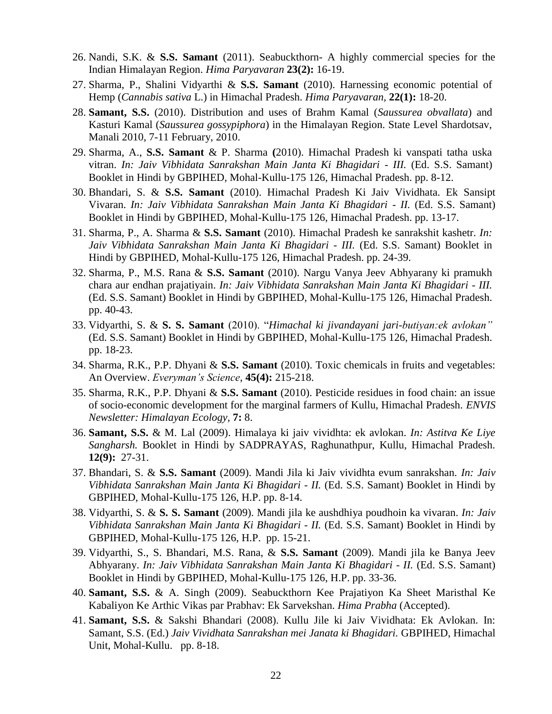- 26. Nandi, S.K. & **S.S. Samant** (2011). Seabuckthorn- A highly commercial species for the Indian Himalayan Region. *Hima Paryavaran* **23(2):** 16-19.
- 27. Sharma, P., Shalini Vidyarthi & **S.S. Samant** (2010). Harnessing economic potential of Hemp (*Cannabis sativa* L.) in Himachal Pradesh. *Hima Paryavaran,* **22(1):** 18-20.
- 28. **Samant, S.S.** (2010). Distribution and uses of Brahm Kamal (*Saussurea obvallata*) and Kasturi Kamal (*Saussurea gossypiphora*) in the Himalayan Region. State Level Shardotsav, Manali 2010, 7-11 February, 2010.
- 29. Sharma, A., **S.S. Samant** & P. Sharma **(**2010). Himachal Pradesh ki vanspati tatha uska vitran. *In: Jaiv Vibhidata Sanrakshan Main Janta Ki Bhagidari - III.* (Ed. S.S. Samant) Booklet in Hindi by GBPIHED, Mohal-Kullu-175 126, Himachal Pradesh. pp. 8-12.
- 30. Bhandari, S. & **S.S. Samant** (2010). Himachal Pradesh Ki Jaiv Vividhata. Ek Sansipt Vivaran. *In: Jaiv Vibhidata Sanrakshan Main Janta Ki Bhagidari - II.* (Ed. S.S. Samant) Booklet in Hindi by GBPIHED, Mohal-Kullu-175 126, Himachal Pradesh. pp. 13-17.
- 31. Sharma, P., A. Sharma & **S.S. Samant** (2010). Himachal Pradesh ke sanrakshit kashetr. *In: Jaiv Vibhidata Sanrakshan Main Janta Ki Bhagidari - III.* (Ed. S.S. Samant) Booklet in Hindi by GBPIHED, Mohal-Kullu-175 126, Himachal Pradesh. pp. 24-39.
- 32. Sharma, P., M.S. Rana & **S.S. Samant** (2010). Nargu Vanya Jeev Abhyarany ki pramukh chara aur endhan prajatiyain. *In: Jaiv Vibhidata Sanrakshan Main Janta Ki Bhagidari - III.*  (Ed. S.S. Samant) Booklet in Hindi by GBPIHED, Mohal-Kullu-175 126, Himachal Pradesh. pp. 40-43.
- 33. Vidyarthi, S. & **S. S. Samant** (2010). "*Himachal ki jivandayani jari-butiyan:ek avlokan"*  (Ed. S.S. Samant) Booklet in Hindi by GBPIHED, Mohal-Kullu-175 126, Himachal Pradesh. pp. 18-23.
- 34. Sharma, R.K., P.P. Dhyani & **S.S. Samant** (2010). Toxic chemicals in fruits and vegetables: An Overview. *Everyman's Science*, **45(4):** 215-218.
- 35. Sharma, R.K., P.P. Dhyani & **S.S. Samant** (2010). Pesticide residues in food chain: an issue of socio-economic development for the marginal farmers of Kullu, Himachal Pradesh. *ENVIS Newsletter: Himalayan Ecology*, **7:** 8.
- 36. **Samant, S.S.** & M. Lal (2009). Himalaya ki jaiv vividhta: ek avlokan. *In: Astitva Ke Liye Sangharsh.* Booklet in Hindi by SADPRAYAS, Raghunathpur, Kullu, Himachal Pradesh. **12(9):** 27-31.
- 37. Bhandari, S. & **S.S. Samant** (2009). Mandi Jila ki Jaiv vividhta evum sanrakshan. *In: Jaiv Vibhidata Sanrakshan Main Janta Ki Bhagidari - II.* (Ed. S.S. Samant) Booklet in Hindi by GBPIHED, Mohal-Kullu-175 126, H.P. pp. 8-14.
- 38. Vidyarthi, S. & **S. S. Samant** (2009). Mandi jila ke aushdhiya poudhoin ka vivaran. *In: Jaiv Vibhidata Sanrakshan Main Janta Ki Bhagidari - II.* (Ed. S.S. Samant) Booklet in Hindi by GBPIHED, Mohal-Kullu-175 126, H.P. pp. 15-21.
- 39. Vidyarthi, S., S. Bhandari, M.S. Rana, & **S.S. Samant** (2009). Mandi jila ke Banya Jeev Abhyarany. *In: Jaiv Vibhidata Sanrakshan Main Janta Ki Bhagidari - II.* (Ed. S.S. Samant) Booklet in Hindi by GBPIHED, Mohal-Kullu-175 126, H.P. pp. 33-36.
- 40. **Samant, S.S.** & A. Singh (2009). Seabuckthorn Kee Prajatiyon Ka Sheet Maristhal Ke Kabaliyon Ke Arthic Vikas par Prabhav: Ek Sarvekshan. *Hima Prabha* (Accepted).
- 41. **Samant, S.S.** & Sakshi Bhandari (2008). Kullu Jile ki Jaiv Vividhata: Ek Avlokan. In: Samant, S.S. (Ed.) *Jaiv Vividhata Sanrakshan mei Janata ki Bhagidari.* GBPIHED, Himachal Unit, Mohal-Kullu. pp. 8-18.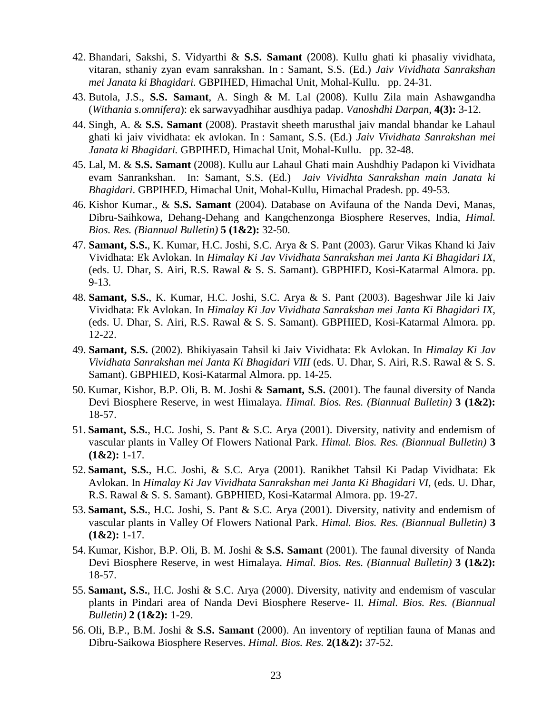- 42. Bhandari, Sakshi, S. Vidyarthi & **S.S. Samant** (2008). Kullu ghati ki phasaliy vividhata, vitaran, sthaniy zyan evam sanrakshan. In : Samant, S.S. (Ed.) *Jaiv Vividhata Sanrakshan mei Janata ki Bhagidari.* GBPIHED, Himachal Unit, Mohal-Kullu. pp. 24-31.
- 43. Butola, J.S., **S.S. Samant**, A. Singh & M. Lal (2008). Kullu Zila main Ashawgandha (*Withania s.omnifera*): ek sarwavyadhihar ausdhiya padap. *Vanoshdhi Darpan,* **4(3):** 3-12.
- 44. Singh, A. & **S.S. Samant** (2008). Prastavit sheeth marusthal jaiv mandal bhandar ke Lahaul ghati ki jaiv vividhata: ek avlokan. In : Samant, S.S. (Ed.) *Jaiv Vividhata Sanrakshan mei Janata ki Bhagidari.* GBPIHED, Himachal Unit, Mohal-Kullu. pp. 32-48.
- 45. Lal, M. & **S.S. Samant** (2008). Kullu aur Lahaul Ghati main Aushdhiy Padapon ki Vividhata evam Sanrankshan. In: Samant, S.S. (Ed.) *Jaiv Vividhta Sanrakshan main Janata ki Bhagidari*. GBPIHED, Himachal Unit, Mohal-Kullu, Himachal Pradesh. pp. 49-53.
- 46. Kishor Kumar., & **S.S. Samant** (2004). Database on Avifauna of the Nanda Devi, Manas, Dibru-Saihkowa, Dehang-Dehang and Kangchenzonga Biosphere Reserves, India, *Himal. Bios. Res. (Biannual Bulletin)* **5 (1&2):** 32-50.
- 47. **Samant, S.S.**, K. Kumar, H.C. Joshi, S.C. Arya & S. Pant (2003). Garur Vikas Khand ki Jaiv Vividhata: Ek Avlokan. In *Himalay Ki Jav Vividhata Sanrakshan mei Janta Ki Bhagidari IX,*  (eds. U. Dhar, S. Airi, R.S. Rawal & S. S. Samant). GBPHIED, Kosi-Katarmal Almora. pp. 9-13.
- 48. **Samant, S.S.**, K. Kumar, H.C. Joshi, S.C. Arya & S. Pant (2003). Bageshwar Jile ki Jaiv Vividhata: Ek Avlokan. In *Himalay Ki Jav Vividhata Sanrakshan mei Janta Ki Bhagidari IX,*  (eds. U. Dhar, S. Airi, R.S. Rawal & S. S. Samant). GBPHIED, Kosi-Katarmal Almora. pp. 12-22.
- 49. **Samant, S.S.** (2002). Bhikiyasain Tahsil ki Jaiv Vividhata: Ek Avlokan. In *Himalay Ki Jav Vividhata Sanrakshan mei Janta Ki Bhagidari VIII* (eds. U. Dhar, S. Airi, R.S. Rawal & S. S. Samant). GBPHIED, Kosi-Katarmal Almora. pp. 14-25.
- 50. Kumar, Kishor, B.P. Oli, B. M. Joshi & **Samant, S.S.** (2001). The faunal diversity of Nanda Devi Biosphere Reserve, in west Himalaya. *Himal. Bios. Res. (Biannual Bulletin)* **3 (1&2):** 18-57.
- 51. **Samant, S.S.**, H.C. Joshi, S. Pant & S.C. Arya (2001). Diversity, nativity and endemism of vascular plants in Valley Of Flowers National Park. *Himal. Bios. Res. (Biannual Bulletin)* **3 (1&2):** 1-17.
- 52. **Samant, S.S.**, H.C. Joshi, & S.C. Arya (2001). Ranikhet Tahsil Ki Padap Vividhata: Ek Avlokan. In *Himalay Ki Jav Vividhata Sanrakshan mei Janta Ki Bhagidari VI,* (eds. U. Dhar, R.S. Rawal & S. S. Samant). GBPHIED, Kosi-Katarmal Almora. pp. 19-27.
- 53. **Samant, S.S.**, H.C. Joshi, S. Pant & S.C. Arya (2001). Diversity, nativity and endemism of vascular plants in Valley Of Flowers National Park. *Himal. Bios. Res. (Biannual Bulletin)* **3 (1&2):** 1-17.
- 54. Kumar, Kishor, B.P. Oli, B. M. Joshi & **S.S. Samant** (2001). The faunal diversity of Nanda Devi Biosphere Reserve, in west Himalaya. *Himal. Bios. Res. (Biannual Bulletin)* **3 (1&2):** 18-57.
- 55. **Samant, S.S.**, H.C. Joshi & S.C. Arya (2000). Diversity, nativity and endemism of vascular plants in Pindari area of Nanda Devi Biosphere Reserve- II. *Himal. Bios. Res. (Biannual Bulletin)* **2 (1&2):** 1-29.
- 56. Oli, B.P., B.M. Joshi & **S.S. Samant** (2000). An inventory of reptilian fauna of Manas and Dibru-Saikowa Biosphere Reserves. *Himal. Bios. Res.* **2(1&2):** 37-52.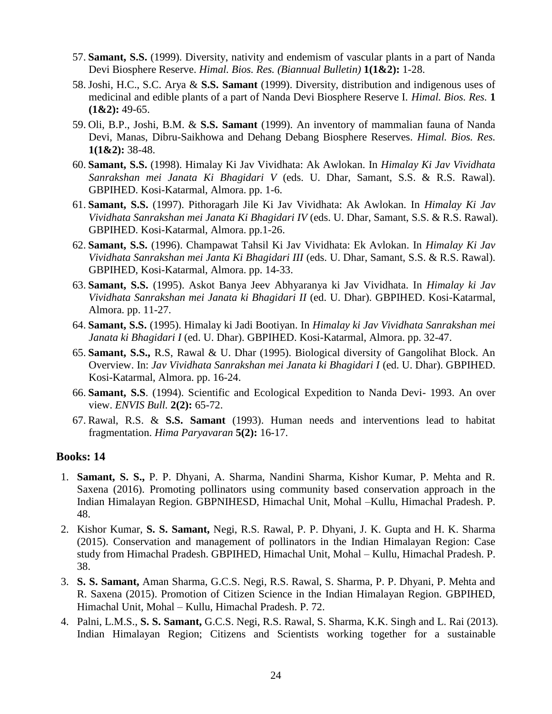- 57. **Samant, S.S.** (1999). Diversity, nativity and endemism of vascular plants in a part of Nanda Devi Biosphere Reserve. *Himal. Bios. Res. (Biannual Bulletin)* **1(1&2):** 1-28.
- 58. Joshi, H.C., S.C. Arya & **S.S. Samant** (1999). Diversity, distribution and indigenous uses of medicinal and edible plants of a part of Nanda Devi Biosphere Reserve I. *Himal. Bios. Res.* **1 (1&2):** 49-65.
- 59. Oli, B.P., Joshi, B.M. & **S.S. Samant** (1999). An inventory of mammalian fauna of Nanda Devi, Manas, Dibru-Saikhowa and Dehang Debang Biosphere Reserves. *Himal. Bios. Res.* **1(1&2):** 38-48.
- 60. **Samant, S.S.** (1998). Himalay Ki Jav Vividhata: Ak Awlokan. In *Himalay Ki Jav Vividhata Sanrakshan mei Janata Ki Bhagidari V* (eds. U. Dhar, Samant, S.S. & R.S. Rawal). GBPIHED. Kosi-Katarmal, Almora. pp. 1-6.
- 61. **Samant, S.S.** (1997). Pithoragarh Jile Ki Jav Vividhata: Ak Awlokan. In *Himalay Ki Jav Vividhata Sanrakshan mei Janata Ki Bhagidari IV* (eds. U. Dhar, Samant, S.S. & R.S. Rawal). GBPIHED. Kosi-Katarmal, Almora. pp.1-26.
- 62. **Samant, S.S.** (1996). Champawat Tahsil Ki Jav Vividhata: Ek Avlokan. In *Himalay Ki Jav Vividhata Sanrakshan mei Janta Ki Bhagidari III* (eds. U. Dhar, Samant, S.S. & R.S. Rawal). GBPIHED, Kosi-Katarmal, Almora. pp. 14-33.
- 63. **Samant, S.S.** (1995). Askot Banya Jeev Abhyaranya ki Jav Vividhata. In *Himalay ki Jav Vividhata Sanrakshan mei Janata ki Bhagidari II* (ed. U. Dhar). GBPIHED. Kosi-Katarmal, Almora. pp. 11-27.
- 64. **Samant, S.S.** (1995). Himalay ki Jadi Bootiyan. In *Himalay ki Jav Vividhata Sanrakshan mei Janata ki Bhagidari I* (ed. U. Dhar). GBPIHED. Kosi-Katarmal, Almora. pp. 32-47.
- 65. **Samant, S.S.,** R.S, Rawal & U. Dhar (1995). Biological diversity of Gangolihat Block. An Overview. In: *Jav Vividhata Sanrakshan mei Janata ki Bhagidari I* (ed. U. Dhar). GBPIHED. Kosi-Katarmal, Almora. pp. 16-24.
- 66. **Samant, S.S**. (1994). Scientific and Ecological Expedition to Nanda Devi- 1993. An over view. *ENVIS Bull.* **2(2):** 65-72.
- 67. Rawal, R.S. & **S.S. Samant** (1993). Human needs and interventions lead to habitat fragmentation. *Hima Paryavaran* **5(2):** 16-17.

#### **Books: 14**

- 1. **Samant, S. S.,** P. P. Dhyani, A. Sharma, Nandini Sharma, Kishor Kumar, P. Mehta and R. Saxena (2016). Promoting pollinators using community based conservation approach in the Indian Himalayan Region. GBPNIHESD, Himachal Unit, Mohal –Kullu, Himachal Pradesh. P. 48.
- 2. Kishor Kumar, **S. S. Samant,** Negi, R.S. Rawal, P. P. Dhyani, J. K. Gupta and H. K. Sharma (2015). Conservation and management of pollinators in the Indian Himalayan Region: Case study from Himachal Pradesh. GBPIHED, Himachal Unit, Mohal – Kullu, Himachal Pradesh. P. 38.
- 3. **S. S. Samant,** Aman Sharma, G.C.S. Negi, R.S. Rawal, S. Sharma, P. P. Dhyani, P. Mehta and R. Saxena (2015). Promotion of Citizen Science in the Indian Himalayan Region. GBPIHED, Himachal Unit, Mohal – Kullu, Himachal Pradesh. P. 72.
- 4. Palni, L.M.S., **S. S. Samant,** G.C.S. Negi, R.S. Rawal, S. Sharma, K.K. Singh and L. Rai (2013). Indian Himalayan Region; Citizens and Scientists working together for a sustainable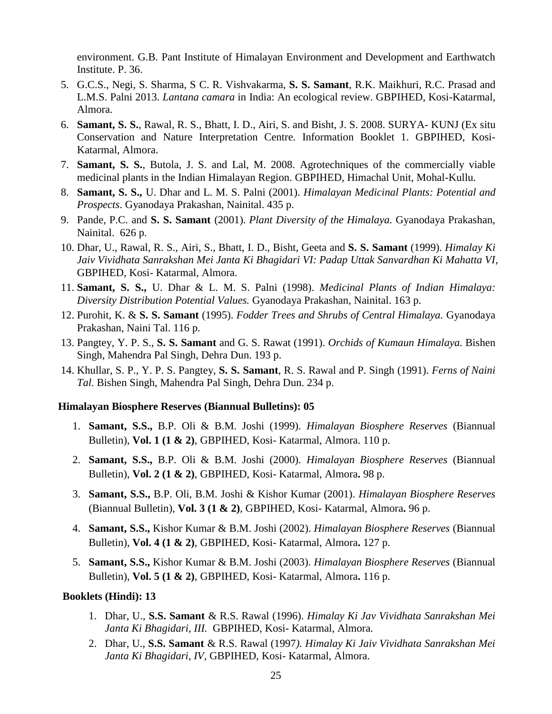environment. G.B. Pant Institute of Himalayan Environment and Development and Earthwatch Institute. P. 36.

- 5. G.C.S., Negi, S. Sharma, S C. R. Vishvakarma, **S. S. Samant**, R.K. Maikhuri, R.C. Prasad and L.M.S. Palni 2013. *Lantana camara* in India: An ecological review. GBPIHED, Kosi-Katarmal, Almora.
- 6. **Samant, S. S.**, Rawal, R. S., Bhatt, I. D., Airi, S. and Bisht, J. S. 2008. SURYA- KUNJ (Ex situ Conservation and Nature Interpretation Centre. Information Booklet 1. GBPIHED, Kosi-Katarmal, Almora.
- 7. **Samant, S. S.**, Butola, J. S. and Lal, M. 2008. Agrotechniques of the commercially viable medicinal plants in the Indian Himalayan Region. GBPIHED, Himachal Unit, Mohal-Kullu.
- 8. **Samant, S. S.,** U. Dhar and L. M. S. Palni (2001). *Himalayan Medicinal Plants: Potential and Prospects*. Gyanodaya Prakashan, Nainital. 435 p.
- 9. Pande, P.C. and **S. S. Samant** (2001). *Plant Diversity of the Himalaya.* Gyanodaya Prakashan, Nainital. 626 p.
- 10. Dhar, U., Rawal, R. S., Airi, S., Bhatt, I. D., Bisht, Geeta and **S. S. Samant** (1999). *Himalay Ki Jaiv Vividhata Sanrakshan Mei Janta Ki Bhagidari VI: Padap Uttak Sanvardhan Ki Mahatta VI*, GBPIHED, Kosi- Katarmal, Almora.
- 11. **Samant, S. S.,** U. Dhar & L. M. S. Palni (1998). *Medicinal Plants of Indian Himalaya: Diversity Distribution Potential Values.* Gyanodaya Prakashan, Nainital. 163 p.
- 12. Purohit, K. & **S. S. Samant** (1995). *Fodder Trees and Shrubs of Central Himalaya.* Gyanodaya Prakashan*,* Naini Tal. 116 p.
- 13. Pangtey, Y. P. S., **S. S. Samant** and G. S. Rawat (1991). *Orchids of Kumaun Himalaya.* Bishen Singh, Mahendra Pal Singh, Dehra Dun. 193 p.
- 14. Khullar, S. P., Y. P. S. Pangtey, **S. S. Samant**, R. S. Rawal and P. Singh (1991). *Ferns of Naini Tal.* Bishen Singh, Mahendra Pal Singh, Dehra Dun. 234 p.

#### **Himalayan Biosphere Reserves (Biannual Bulletins): 05**

- 1. **Samant, S.S.,** B.P. Oli & B.M. Joshi (1999). *Himalayan Biosphere Reserves* (Biannual Bulletin), **Vol. 1 (1 & 2)**, GBPIHED, Kosi- Katarmal, Almora. 110 p.
- 2. **Samant, S.S.,** B.P. Oli & B.M. Joshi (2000). *Himalayan Biosphere Reserves* (Biannual Bulletin), **Vol. 2 (1 & 2)**, GBPIHED, Kosi- Katarmal, Almora**.** 98 p.
- 3. **Samant, S.S.,** B.P. Oli, B.M. Joshi & Kishor Kumar (2001). *Himalayan Biosphere Reserves*  (Biannual Bulletin), **Vol. 3 (1 & 2)**, GBPIHED, Kosi- Katarmal, Almora**.** 96 p.
- 4. **Samant, S.S.,** Kishor Kumar & B.M. Joshi (2002). *Himalayan Biosphere Reserves* (Biannual Bulletin), **Vol. 4 (1 & 2)**, GBPIHED, Kosi- Katarmal, Almora**.** 127 p.
- 5. **Samant, S.S.,** Kishor Kumar & B.M. Joshi (2003). *Himalayan Biosphere Reserves* (Biannual Bulletin), **Vol. 5 (1 & 2)**, GBPIHED, Kosi- Katarmal, Almora**.** 116 p.

#### **Booklets (Hindi): 13**

- 1. Dhar, U., **S.S. Samant** & R.S. Rawal (1996). *Himalay Ki Jav Vividhata Sanrakshan Mei Janta Ki Bhagidari, III.* GBPIHED, Kosi- Katarmal, Almora.
- 2. Dhar, U., **S.S. Samant** & R.S. Rawal (1997*). Himalay Ki Jaiv Vividhata Sanrakshan Mei Janta Ki Bhagidari, IV,* GBPIHED, Kosi- Katarmal, Almora.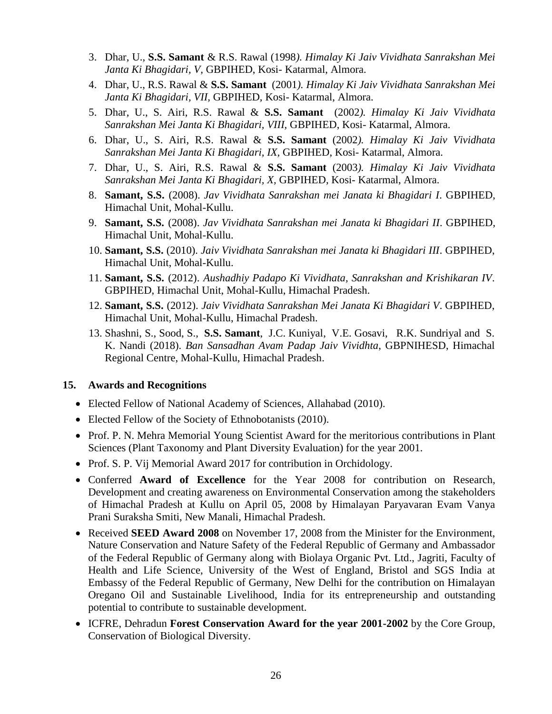- 3. Dhar, U., **S.S. Samant** & R.S. Rawal (1998*). Himalay Ki Jaiv Vividhata Sanrakshan Mei Janta Ki Bhagidari, V,* GBPIHED, Kosi- Katarmal, Almora.
- 4. Dhar, U., R.S. Rawal & **S.S. Samant** (2001*). Himalay Ki Jaiv Vividhata Sanrakshan Mei Janta Ki Bhagidari, VII,* GBPIHED, Kosi- Katarmal, Almora.
- 5. Dhar, U., S. Airi, R.S. Rawal & **S.S. Samant** (2002*). Himalay Ki Jaiv Vividhata Sanrakshan Mei Janta Ki Bhagidari, VIII,* GBPIHED, Kosi- Katarmal, Almora.
- 6. Dhar, U., S. Airi, R.S. Rawal & **S.S. Samant** (2002*). Himalay Ki Jaiv Vividhata Sanrakshan Mei Janta Ki Bhagidari, IX,* GBPIHED, Kosi- Katarmal, Almora.
- 7. Dhar, U., S. Airi, R.S. Rawal & **S.S. Samant** (2003*). Himalay Ki Jaiv Vividhata Sanrakshan Mei Janta Ki Bhagidari, X,* GBPIHED, Kosi- Katarmal, Almora.
- 8. **Samant, S.S.** (2008). *Jav Vividhata Sanrakshan mei Janata ki Bhagidari I*. GBPIHED, Himachal Unit, Mohal-Kullu.
- 9. **Samant, S.S.** (2008). *Jav Vividhata Sanrakshan mei Janata ki Bhagidari II*. GBPIHED, Himachal Unit, Mohal-Kullu.
- 10. **Samant, S.S.** (2010). *Jaiv Vividhata Sanrakshan mei Janata ki Bhagidari III*. GBPIHED, Himachal Unit, Mohal-Kullu.
- 11. **Samant, S.S.** (2012). *Aushadhiy Padapo Ki Vividhata, Sanrakshan and Krishikaran IV*. GBPIHED, Himachal Unit, Mohal-Kullu, Himachal Pradesh.
- 12. **Samant, S.S.** (2012). *Jaiv Vividhata Sanrakshan Mei Janata Ki Bhagidari V*. GBPIHED, Himachal Unit, Mohal-Kullu, Himachal Pradesh.
- 13. Shashni, S., Sood, S., **S.S. Samant**, J.C. Kuniyal, V.E. Gosavi, R.K. Sundriyal and S. K. Nandi (2018). *Ban Sansadhan Avam Padap Jaiv Vividhta*, GBPNIHESD, Himachal Regional Centre, Mohal-Kullu, Himachal Pradesh.

#### **15. Awards and Recognitions**

- Elected Fellow of National Academy of Sciences, Allahabad (2010).
- Elected Fellow of the Society of Ethnobotanists (2010).
- Prof. P. N. Mehra Memorial Young Scientist Award for the meritorious contributions in Plant Sciences (Plant Taxonomy and Plant Diversity Evaluation) for the year 2001.
- Prof. S. P. Vij Memorial Award 2017 for contribution in Orchidology.
- Conferred **Award of Excellence** for the Year 2008 for contribution on Research, Development and creating awareness on Environmental Conservation among the stakeholders of Himachal Pradesh at Kullu on April 05, 2008 by Himalayan Paryavaran Evam Vanya Prani Suraksha Smiti, New Manali, Himachal Pradesh.
- Received **SEED Award 2008** on November 17, 2008 from the Minister for the Environment, Nature Conservation and Nature Safety of the Federal Republic of Germany and Ambassador of the Federal Republic of Germany along with Biolaya Organic Pvt. Ltd., Jagriti, Faculty of Health and Life Science, University of the West of England, Bristol and SGS India at Embassy of the Federal Republic of Germany, New Delhi for the contribution on Himalayan Oregano Oil and Sustainable Livelihood, India for its entrepreneurship and outstanding potential to contribute to sustainable development.
- ICFRE, Dehradun **Forest Conservation Award for the year 2001-2002** by the Core Group, Conservation of Biological Diversity.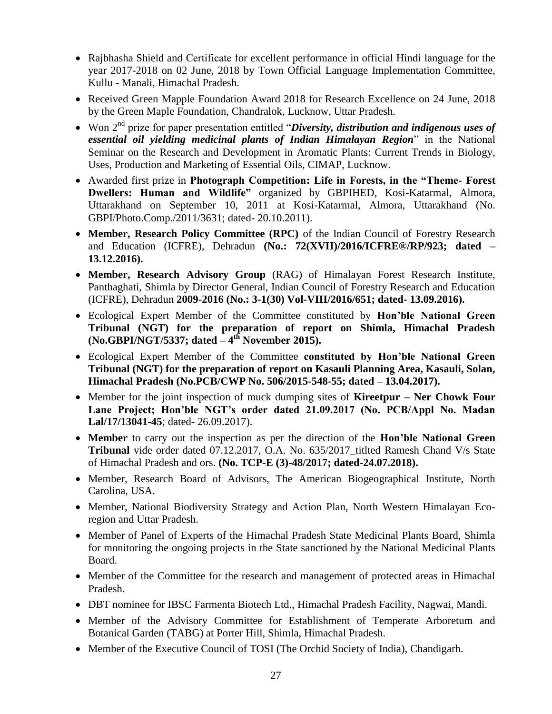- Rajbhasha Shield and Certificate for excellent performance in official Hindi language for the year 2017-2018 on 02 June, 2018 by Town Official Language Implementation Committee, Kullu - Manali, Himachal Pradesh.
- Received Green Mapple Foundation Award 2018 for Research Excellence on 24 June, 2018 by the Green Maple Foundation, Chandralok, Lucknow, Uttar Pradesh.
- Won 2nd prize for paper presentation entitled "*Diversity, distribution and indigenous uses of essential oil yielding medicinal plants of Indian Himalayan Region*" in the National Seminar on the Research and Development in Aromatic Plants: Current Trends in Biology, Uses, Production and Marketing of Essential Oils, CIMAP, Lucknow.
- Awarded first prize in **Photograph Competition: Life in Forests, in the "Theme- Forest Dwellers: Human and Wildlife"** organized by GBPIHED, Kosi-Katarmal, Almora, Uttarakhand on September 10, 2011 at Kosi-Katarmal, Almora, Uttarakhand (No. GBPI/Photo.Comp./2011/3631; dated- 20.10.2011).
- **Member, Research Policy Committee (RPC)** of the Indian Council of Forestry Research and Education (ICFRE), Dehradun **(No.: 72(XVII)/2016/ICFRE®/RP/923; dated – 13.12.2016).**
- **Member, Research Advisory Group** (RAG) of Himalayan Forest Research Institute, Panthaghati, Shimla by Director General, Indian Council of Forestry Research and Education (ICFRE), Dehradun **2009-2016 (No.: 3-1(30) Vol-VIII/2016/651; dated- 13.09.2016).**
- Ecological Expert Member of the Committee constituted by **Hon'ble National Green Tribunal (NGT) for the preparation of report on Shimla, Himachal Pradesh (No.GBPI/NGT/5337; dated – 4 th November 2015).**
- Ecological Expert Member of the Committee **constituted by Hon'ble National Green Tribunal (NGT) for the preparation of report on Kasauli Planning Area, Kasauli, Solan, Himachal Pradesh (No.PCB/CWP No. 506/2015-548-55; dated – 13.04.2017).**
- Member for the joint inspection of muck dumping sites of **Kireetpur – Ner Chowk Four Lane Project; Hon'ble NGT's order dated 21.09.2017 (No. PCB/Appl No. Madan Lal/17/13041-45**; dated- 26.09.2017).
- **Member** to carry out the inspection as per the direction of the **Hon'ble National Green Tribunal** vide order dated 07.12.2017, O.A. No. 635/2017\_titlted Ramesh Chand V/s State of Himachal Pradesh and ors. **(No. TCP-E (3)-48/2017; dated-24.07.2018).**
- Member, Research Board of Advisors, The American Biogeographical Institute, North Carolina, USA.
- Member, National Biodiversity Strategy and Action Plan, North Western Himalayan Ecoregion and Uttar Pradesh.
- Member of Panel of Experts of the Himachal Pradesh State Medicinal Plants Board, Shimla for monitoring the ongoing projects in the State sanctioned by the National Medicinal Plants Board.
- Member of the Committee for the research and management of protected areas in Himachal Pradesh.
- DBT nominee for IBSC Farmenta Biotech Ltd., Himachal Pradesh Facility, Nagwai, Mandi.
- Member of the Advisory Committee for Establishment of Temperate Arboretum and Botanical Garden (TABG) at Porter Hill, Shimla, Himachal Pradesh.
- Member of the Executive Council of TOSI (The Orchid Society of India), Chandigarh.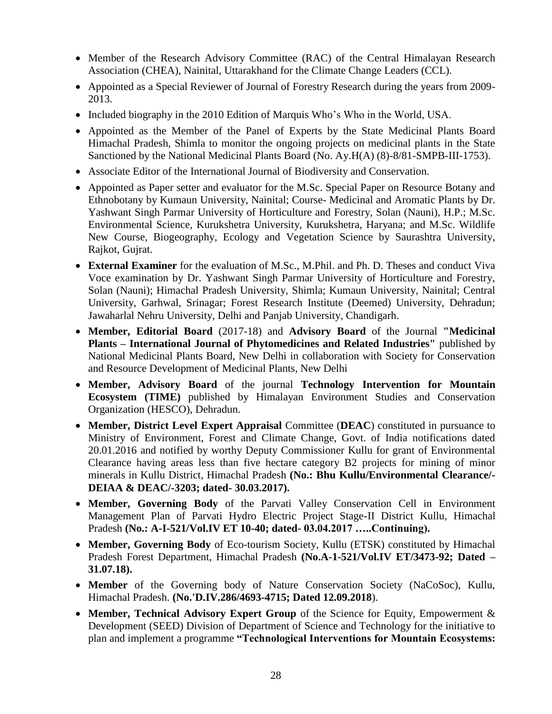- Member of the Research Advisory Committee (RAC) of the Central Himalayan Research Association (CHEA), Nainital, Uttarakhand for the Climate Change Leaders (CCL).
- Appointed as a Special Reviewer of Journal of Forestry Research during the years from 2009-2013.
- Included biography in the 2010 Edition of Marquis Who's Who in the World, USA.
- Appointed as the Member of the Panel of Experts by the State Medicinal Plants Board Himachal Pradesh, Shimla to monitor the ongoing projects on medicinal plants in the State Sanctioned by the National Medicinal Plants Board (No. Ay.H(A) (8)-8/81-SMPB-III-1753).
- Associate Editor of the International Journal of Biodiversity and Conservation.
- Appointed as Paper setter and evaluator for the M.Sc. Special Paper on Resource Botany and Ethnobotany by Kumaun University, Nainital; Course- Medicinal and Aromatic Plants by Dr. Yashwant Singh Parmar University of Horticulture and Forestry, Solan (Nauni), H.P.; M.Sc. Environmental Science, Kurukshetra University, Kurukshetra, Haryana; and M.Sc. Wildlife New Course, Biogeography, Ecology and Vegetation Science by Saurashtra University, Rajkot, Gujrat.
- **External Examiner** for the evaluation of M.Sc., M.Phil. and Ph. D. Theses and conduct Viva Voce examination by Dr. Yashwant Singh Parmar University of Horticulture and Forestry, Solan (Nauni); Himachal Pradesh University, Shimla; Kumaun University, Nainital; Central University, Garhwal, Srinagar; Forest Research Institute (Deemed) University, Dehradun; Jawaharlal Nehru University, Delhi and Panjab University, Chandigarh.
- **Member, Editorial Board** (2017-18) and **Advisory Board** of the Journal **"Medicinal Plants – International Journal of Phytomedicines and Related Industries"** published by National Medicinal Plants Board, New Delhi in collaboration with Society for Conservation and Resource Development of Medicinal Plants, New Delhi
- **Member, Advisory Board** of the journal **Technology Intervention for Mountain Ecosystem (TIME)** published by Himalayan Environment Studies and Conservation Organization (HESCO), Dehradun.
- **Member, District Level Expert Appraisal** Committee (**DEAC**) constituted in pursuance to Ministry of Environment, Forest and Climate Change, Govt. of India notifications dated 20.01.2016 and notified by worthy Deputy Commissioner Kullu for grant of Environmental Clearance having areas less than five hectare category B2 projects for mining of minor minerals in Kullu District, Himachal Pradesh **(No.: Bhu Kullu/Environmental Clearance/- DEIAA & DEAC/-3203; dated- 30.03.2017).**
- **Member, Governing Body** of the Parvati Valley Conservation Cell in Environment Management Plan of Parvati Hydro Electric Project Stage-II District Kullu, Himachal Pradesh **(No.: A-I-521/Vol.IV ET 10-40; dated- 03.04.2017 …..Continuing).**
- **Member, Governing Body** of Eco-tourism Society, Kullu (ETSK) constituted by Himachal Pradesh Forest Department, Himachal Pradesh **(No.A-1-521/Vol.IV ET/3473-92; Dated – 31.07.18).**
- **Member** of the Governing body of Nature Conservation Society (NaCoSoc), Kullu, Himachal Pradesh. **(No.'D.IV.286/4693-4715; Dated 12.09.2018**).
- **Member, Technical Advisory Expert Group** of the Science for Equity, Empowerment & Development (SEED) Division of Department of Science and Technology for the initiative to plan and implement a programme **"Technological Interventions for Mountain Ecosystems:**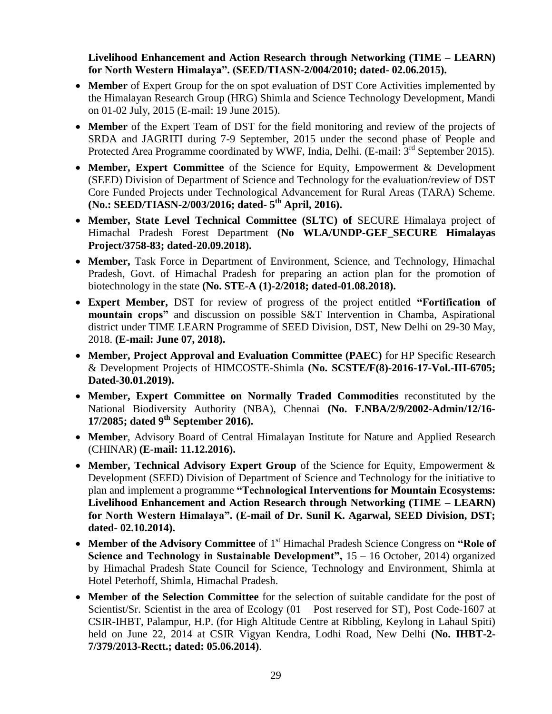**Livelihood Enhancement and Action Research through Networking (TIME – LEARN) for North Western Himalaya". (SEED/TIASN-2/004/2010; dated- 02.06.2015).** 

- **Member** of Expert Group for the on spot evaluation of DST Core Activities implemented by the Himalayan Research Group (HRG) Shimla and Science Technology Development, Mandi on 01-02 July, 2015 (E-mail: 19 June 2015).
- **Member** of the Expert Team of DST for the field monitoring and review of the projects of SRDA and JAGRITI during 7-9 September, 2015 under the second phase of People and Protected Area Programme coordinated by WWF, India, Delhi. (E-mail: 3<sup>rd</sup> September 2015).
- **Member, Expert Committee** of the Science for Equity, Empowerment & Development (SEED) Division of Department of Science and Technology for the evaluation/review of DST Core Funded Projects under Technological Advancement for Rural Areas (TARA) Scheme. **(No.: SEED/TIASN-2/003/2016; dated- 5 th April, 2016).**
- **Member, State Level Technical Committee (SLTC) of** SECURE Himalaya project of Himachal Pradesh Forest Department **(No WLA/UNDP-GEF\_SECURE Himalayas Project/3758-83; dated-20.09.2018).**
- **Member,** Task Force in Department of Environment, Science, and Technology, Himachal Pradesh, Govt. of Himachal Pradesh for preparing an action plan for the promotion of biotechnology in the state **(No. STE-A (1)-2/2018; dated-01.08.2018).**
- **Expert Member,** DST for review of progress of the project entitled **"Fortification of mountain crops"** and discussion on possible S&T Intervention in Chamba, Aspirational district under TIME LEARN Programme of SEED Division, DST, New Delhi on 29-30 May, 2018. **(E-mail: June 07, 2018).**
- **Member, Project Approval and Evaluation Committee (PAEC)** for HP Specific Research & Development Projects of HIMCOSTE-Shimla **(No. SCSTE/F(8)-2016-17-Vol.-III-6705; Dated-30.01.2019).**
- **Member, Expert Committee on Normally Traded Commodities** reconstituted by the National Biodiversity Authority (NBA), Chennai **(No. F.NBA/2/9/2002-Admin/12/16- 17/2085; dated 9th September 2016).**
- **Member**, Advisory Board of Central Himalayan Institute for Nature and Applied Research (CHINAR) **(E-mail: 11.12.2016).**
- **Member, Technical Advisory Expert Group** of the Science for Equity, Empowerment & Development (SEED) Division of Department of Science and Technology for the initiative to plan and implement a programme **"Technological Interventions for Mountain Ecosystems: Livelihood Enhancement and Action Research through Networking (TIME – LEARN) for North Western Himalaya". (E-mail of Dr. Sunil K. Agarwal, SEED Division, DST; dated- 02.10.2014).**
- Member of the Advisory Committee of 1<sup>st</sup> Himachal Pradesh Science Congress on "Role of **Science and Technology in Sustainable Development",** 15 – 16 October, 2014) organized by Himachal Pradesh State Council for Science, Technology and Environment, Shimla at Hotel Peterhoff, Shimla, Himachal Pradesh.
- **Member of the Selection Committee** for the selection of suitable candidate for the post of Scientist/Sr. Scientist in the area of Ecology (01 – Post reserved for ST), Post Code-1607 at CSIR-IHBT, Palampur, H.P. (for High Altitude Centre at Ribbling, Keylong in Lahaul Spiti) held on June 22, 2014 at CSIR Vigyan Kendra, Lodhi Road, New Delhi **(No. IHBT-2- 7/379/2013-Rectt.; dated: 05.06.2014)**.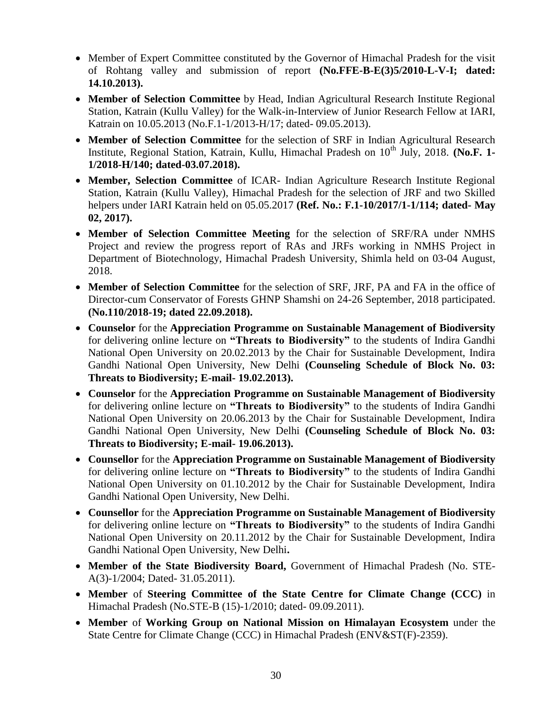- Member of Expert Committee constituted by the Governor of Himachal Pradesh for the visit of Rohtang valley and submission of report **(No.FFE-B-E(3)5/2010-L-V-I; dated: 14.10.2013).**
- **Member of Selection Committee** by Head, Indian Agricultural Research Institute Regional Station, Katrain (Kullu Valley) for the Walk-in-Interview of Junior Research Fellow at IARI, Katrain on 10.05.2013 (No.F.1-1/2013-H/17; dated- 09.05.2013).
- **Member of Selection Committee** for the selection of SRF in Indian Agricultural Research Institute, Regional Station, Katrain, Kullu, Himachal Pradesh on 10<sup>th</sup> July, 2018. **(No.F. 1-1/2018-H/140; dated-03.07.2018).**
- **Member, Selection Committee** of ICAR- Indian Agriculture Research Institute Regional Station, Katrain (Kullu Valley), Himachal Pradesh for the selection of JRF and two Skilled helpers under IARI Katrain held on 05.05.2017 **(Ref. No.: F.1-10/2017/1-1/114; dated- May 02, 2017).**
- **Member of Selection Committee Meeting** for the selection of SRF/RA under NMHS Project and review the progress report of RAs and JRFs working in NMHS Project in Department of Biotechnology, Himachal Pradesh University, Shimla held on 03-04 August, 2018.
- **Member of Selection Committee** for the selection of SRF, JRF, PA and FA in the office of Director-cum Conservator of Forests GHNP Shamshi on 24-26 September, 2018 participated. **(No.110/2018-19; dated 22.09.2018).**
- **Counselor** for the **Appreciation Programme on Sustainable Management of Biodiversity** for delivering online lecture on **"Threats to Biodiversity"** to the students of Indira Gandhi National Open University on 20.02.2013 by the Chair for Sustainable Development, Indira Gandhi National Open University, New Delhi **(Counseling Schedule of Block No. 03: Threats to Biodiversity; E-mail- 19.02.2013).**
- **Counselor** for the **Appreciation Programme on Sustainable Management of Biodiversity** for delivering online lecture on **"Threats to Biodiversity"** to the students of Indira Gandhi National Open University on 20.06.2013 by the Chair for Sustainable Development, Indira Gandhi National Open University, New Delhi **(Counseling Schedule of Block No. 03: Threats to Biodiversity; E-mail- 19.06.2013).**
- **Counsellor** for the **Appreciation Programme on Sustainable Management of Biodiversity** for delivering online lecture on **"Threats to Biodiversity"** to the students of Indira Gandhi National Open University on 01.10.2012 by the Chair for Sustainable Development, Indira Gandhi National Open University, New Delhi.
- **Counsellor** for the **Appreciation Programme on Sustainable Management of Biodiversity**  for delivering online lecture on **"Threats to Biodiversity"** to the students of Indira Gandhi National Open University on 20.11.2012 by the Chair for Sustainable Development, Indira Gandhi National Open University, New Delhi**.**
- **Member of the State Biodiversity Board,** Government of Himachal Pradesh (No. STE-A(3)-1/2004; Dated- 31.05.2011).
- **Member** of **Steering Committee of the State Centre for Climate Change (CCC)** in Himachal Pradesh (No.STE-B (15)-1/2010; dated- 09.09.2011).
- **Member** of **Working Group on National Mission on Himalayan Ecosystem** under the State Centre for Climate Change (CCC) in Himachal Pradesh (ENV&ST(F)-2359).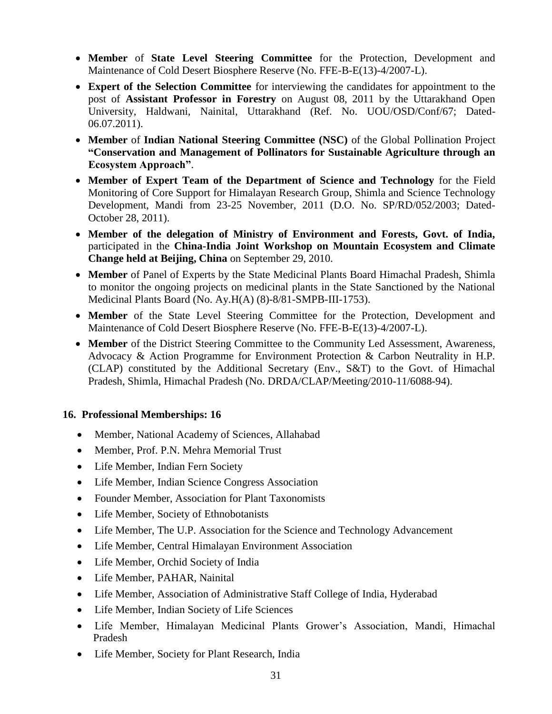- **Member** of **State Level Steering Committee** for the Protection, Development and Maintenance of Cold Desert Biosphere Reserve (No. FFE-B-E(13)-4/2007-L).
- **Expert of the Selection Committee** for interviewing the candidates for appointment to the post of **Assistant Professor in Forestry** on August 08, 2011 by the Uttarakhand Open University, Haldwani, Nainital, Uttarakhand (Ref. No. UOU/OSD/Conf/67; Dated-06.07.2011).
- **Member** of **Indian National Steering Committee (NSC)** of the Global Pollination Project **"Conservation and Management of Pollinators for Sustainable Agriculture through an Ecosystem Approach"**.
- **Member of Expert Team of the Department of Science and Technology** for the Field Monitoring of Core Support for Himalayan Research Group, Shimla and Science Technology Development, Mandi from 23-25 November, 2011 (D.O. No. SP/RD/052/2003; Dated-October 28, 2011).
- **Member of the delegation of Ministry of Environment and Forests, Govt. of India,**  participated in the **China-India Joint Workshop on Mountain Ecosystem and Climate Change held at Beijing, China** on September 29, 2010.
- **Member** of Panel of Experts by the State Medicinal Plants Board Himachal Pradesh, Shimla to monitor the ongoing projects on medicinal plants in the State Sanctioned by the National Medicinal Plants Board (No. Ay.H(A) (8)-8/81-SMPB-III-1753).
- **Member** of the State Level Steering Committee for the Protection, Development and Maintenance of Cold Desert Biosphere Reserve (No. FFE-B-E(13)-4/2007-L).
- **Member** of the District Steering Committee to the Community Led Assessment, Awareness, Advocacy & Action Programme for Environment Protection & Carbon Neutrality in H.P. (CLAP) constituted by the Additional Secretary (Env., S&T) to the Govt. of Himachal Pradesh, Shimla, Himachal Pradesh (No. DRDA/CLAP/Meeting/2010-11/6088-94).

## **16. Professional Memberships: 16**

- Member, National Academy of Sciences, Allahabad
- Member, Prof. P.N. Mehra Memorial Trust
- Life Member, Indian Fern Society
- Life Member, Indian Science Congress Association
- Founder Member, Association for Plant Taxonomists
- Life Member, Society of Ethnobotanists
- Life Member, The U.P. Association for the Science and Technology Advancement
- Life Member, Central Himalayan Environment Association
- Life Member, Orchid Society of India
- Life Member, PAHAR, Nainital
- Life Member, Association of Administrative Staff College of India, Hyderabad
- Life Member, Indian Society of Life Sciences
- Life Member, Himalayan Medicinal Plants Grower's Association, Mandi, Himachal Pradesh
- Life Member, Society for Plant Research, India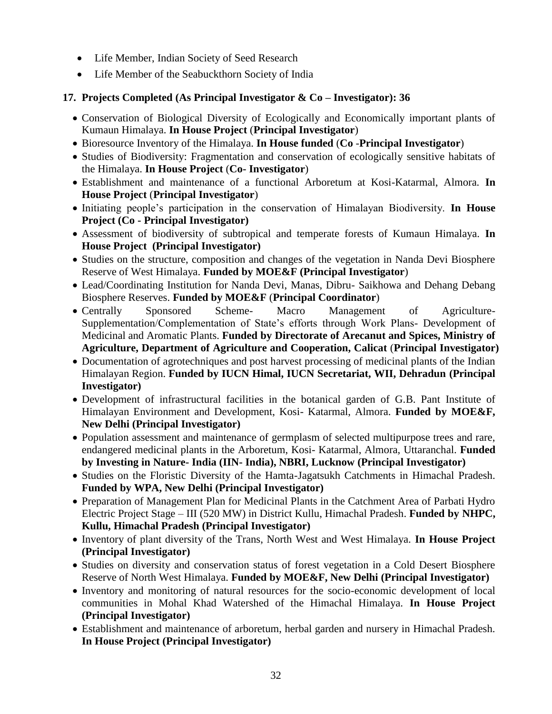- Life Member, Indian Society of Seed Research
- Life Member of the Seabuckthorn Society of India
- **17. Projects Completed (As Principal Investigator & Co – Investigator): 36**
	- Conservation of Biological Diversity of Ecologically and Economically important plants of Kumaun Himalaya. **In House Project** (**Principal Investigator**)
	- Bioresource Inventory of the Himalaya. **In House funded** (**Co** -**Principal Investigator**)
	- Studies of Biodiversity: Fragmentation and conservation of ecologically sensitive habitats of the Himalaya. **In House Project** (**Co- Investigator**)
	- Establishment and maintenance of a functional Arboretum at Kosi-Katarmal, Almora. **In House Project** (**Principal Investigator**)
	- Initiating people's participation in the conservation of Himalayan Biodiversity. **In House Project (Co - Principal Investigator)**
	- Assessment of biodiversity of subtropical and temperate forests of Kumaun Himalaya. **In House Project (Principal Investigator)**
	- Studies on the structure, composition and changes of the vegetation in Nanda Devi Biosphere Reserve of West Himalaya. **Funded by MOE&F (Principal Investigator**)
	- Lead/Coordinating Institution for Nanda Devi, Manas, Dibru- Saikhowa and Dehang Debang Biosphere Reserves. **Funded by MOE&F** (**Principal Coordinator**)
	- Centrally Sponsored Scheme- Macro Management of Agriculture-Supplementation/Complementation of State's efforts through Work Plans- Development of Medicinal and Aromatic Plants. **Funded by Directorate of Arecanut and Spices, Ministry of Agriculture, Department of Agriculture and Cooperation, Calicat** (**Principal Investigator)**
	- Documentation of agrotechniques and post harvest processing of medicinal plants of the Indian Himalayan Region. **Funded by IUCN Himal, IUCN Secretariat, WII, Dehradun (Principal Investigator)**
	- Development of infrastructural facilities in the botanical garden of G.B. Pant Institute of Himalayan Environment and Development, Kosi- Katarmal, Almora. **Funded by MOE&F, New Delhi (Principal Investigator)**
	- Population assessment and maintenance of germplasm of selected multipurpose trees and rare, endangered medicinal plants in the Arboretum, Kosi- Katarmal, Almora, Uttaranchal. **Funded by Investing in Nature- India (IIN- India), NBRI, Lucknow (Principal Investigator)**
	- Studies on the Floristic Diversity of the Hamta-Jagatsukh Catchments in Himachal Pradesh. **Funded by WPA, New Delhi (Principal Investigator)**
	- Preparation of Management Plan for Medicinal Plants in the Catchment Area of Parbati Hydro Electric Project Stage – III (520 MW) in District Kullu, Himachal Pradesh. **Funded by NHPC, Kullu, Himachal Pradesh (Principal Investigator)**
	- Inventory of plant diversity of the Trans, North West and West Himalaya. In House Project **(Principal Investigator)**
	- Studies on diversity and conservation status of forest vegetation in a Cold Desert Biosphere Reserve of North West Himalaya. **Funded by MOE&F, New Delhi (Principal Investigator)**
	- Inventory and monitoring of natural resources for the socio-economic development of local communities in Mohal Khad Watershed of the Himachal Himalaya. **In House Project (Principal Investigator)**
	- Establishment and maintenance of arboretum, herbal garden and nursery in Himachal Pradesh. **In House Project (Principal Investigator)**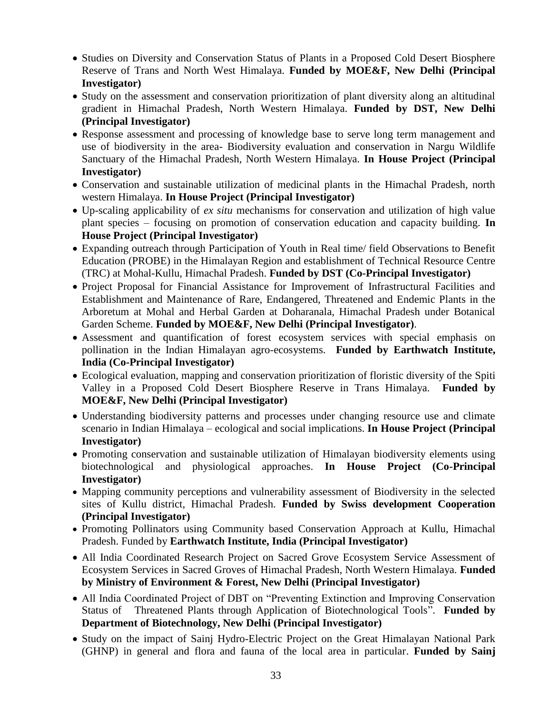- Studies on Diversity and Conservation Status of Plants in a Proposed Cold Desert Biosphere Reserve of Trans and North West Himalaya. **Funded by MOE&F, New Delhi (Principal Investigator)**
- Study on the assessment and conservation prioritization of plant diversity along an altitudinal gradient in Himachal Pradesh, North Western Himalaya. **Funded by DST, New Delhi (Principal Investigator)**
- Response assessment and processing of knowledge base to serve long term management and use of biodiversity in the area- Biodiversity evaluation and conservation in Nargu Wildlife Sanctuary of the Himachal Pradesh, North Western Himalaya. **In House Project (Principal Investigator)**
- Conservation and sustainable utilization of medicinal plants in the Himachal Pradesh, north western Himalaya. **In House Project (Principal Investigator)**
- Up-scaling applicability of *ex situ* mechanisms for conservation and utilization of high value plant species – focusing on promotion of conservation education and capacity building. **In House Project (Principal Investigator)**
- Expanding outreach through Participation of Youth in Real time/ field Observations to Benefit Education (PROBE) in the Himalayan Region and establishment of Technical Resource Centre (TRC) at Mohal-Kullu, Himachal Pradesh. **Funded by DST (Co-Principal Investigator)**
- Project Proposal for Financial Assistance for Improvement of Infrastructural Facilities and Establishment and Maintenance of Rare, Endangered, Threatened and Endemic Plants in the Arboretum at Mohal and Herbal Garden at Doharanala, Himachal Pradesh under Botanical Garden Scheme. **Funded by MOE&F, New Delhi (Principal Investigator)**.
- Assessment and quantification of forest ecosystem services with special emphasis on pollination in the Indian Himalayan agro-ecosystems. **Funded by Earthwatch Institute, India (Co-Principal Investigator)**
- Ecological evaluation, mapping and conservation prioritization of floristic diversity of the Spiti Valley in a Proposed Cold Desert Biosphere Reserve in Trans Himalaya. **Funded by MOE&F, New Delhi (Principal Investigator)**
- Understanding biodiversity patterns and processes under changing resource use and climate scenario in Indian Himalaya – ecological and social implications. **In House Project (Principal Investigator)**
- Promoting conservation and sustainable utilization of Himalayan biodiversity elements using biotechnological and physiological approaches. **In House Project (Co-Principal Investigator)**
- Mapping community perceptions and vulnerability assessment of Biodiversity in the selected sites of Kullu district, Himachal Pradesh. **Funded by Swiss development Cooperation (Principal Investigator)**
- Promoting Pollinators using Community based Conservation Approach at Kullu, Himachal Pradesh. Funded by **Earthwatch Institute, India (Principal Investigator)**
- All India Coordinated Research Project on Sacred Grove Ecosystem Service Assessment of Ecosystem Services in Sacred Groves of Himachal Pradesh, North Western Himalaya. **Funded by Ministry of Environment & Forest, New Delhi (Principal Investigator)**
- All India Coordinated Project of DBT on "Preventing Extinction and Improving Conservation Status of Threatened Plants through Application of Biotechnological Tools". **Funded by Department of Biotechnology, New Delhi (Principal Investigator)**
- Study on the impact of Sainj Hydro-Electric Project on the Great Himalayan National Park (GHNP) in general and flora and fauna of the local area in particular. **Funded by Sainj**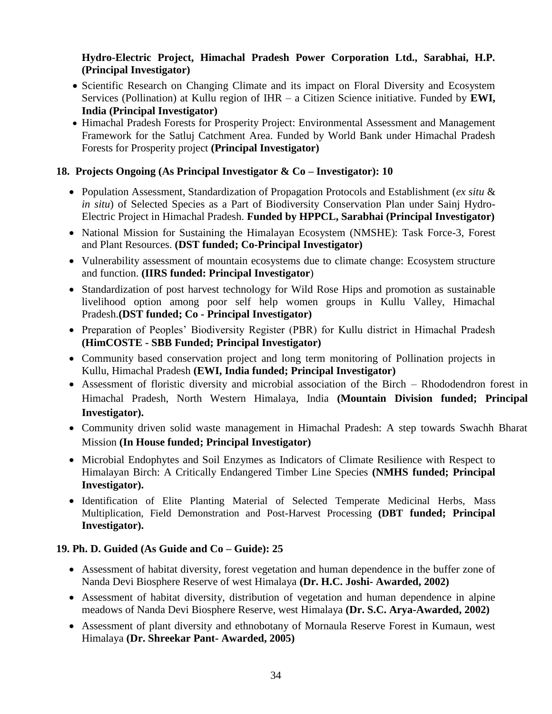## **Hydro-Electric Project, Himachal Pradesh Power Corporation Ltd., Sarabhai, H.P. (Principal Investigator)**

- Scientific Research on Changing Climate and its impact on Floral Diversity and Ecosystem Services (Pollination) at Kullu region of IHR – a Citizen Science initiative. Funded by **EWI, India (Principal Investigator)**
- Himachal Pradesh Forests for Prosperity Project: Environmental Assessment and Management Framework for the Satluj Catchment Area. Funded by World Bank under Himachal Pradesh Forests for Prosperity project **(Principal Investigator)**

## **18. Projects Ongoing (As Principal Investigator & Co – Investigator): 10**

- Population Assessment, Standardization of Propagation Protocols and Establishment (*ex situ* & *in situ*) of Selected Species as a Part of Biodiversity Conservation Plan under Sainj Hydro-Electric Project in Himachal Pradesh. **Funded by HPPCL, Sarabhai (Principal Investigator)**
- National Mission for Sustaining the Himalayan Ecosystem (NMSHE): Task Force-3, Forest and Plant Resources. **(DST funded; Co-Principal Investigator)**
- Vulnerability assessment of mountain ecosystems due to climate change: Ecosystem structure and function. **(IIRS funded: Principal Investigator**)
- Standardization of post harvest technology for Wild Rose Hips and promotion as sustainable livelihood option among poor self help women groups in Kullu Valley, Himachal Pradesh.**(DST funded; Co - Principal Investigator)**
- Preparation of Peoples' Biodiversity Register (PBR) for Kullu district in Himachal Pradesh **(HimCOSTE - SBB Funded; Principal Investigator)**
- Community based conservation project and long term monitoring of Pollination projects in Kullu, Himachal Pradesh **(EWI, India funded; Principal Investigator)**
- Assessment of floristic diversity and microbial association of the Birch Rhododendron forest in Himachal Pradesh, North Western Himalaya, India **(Mountain Division funded; Principal Investigator).**
- Community driven solid waste management in Himachal Pradesh: A step towards Swachh Bharat Mission **(In House funded; Principal Investigator)**
- Microbial Endophytes and Soil Enzymes as Indicators of Climate Resilience with Respect to Himalayan Birch: A Critically Endangered Timber Line Species **(NMHS funded; Principal Investigator).**
- Identification of Elite Planting Material of Selected Temperate Medicinal Herbs, Mass Multiplication, Field Demonstration and Post-Harvest Processing **(DBT funded; Principal Investigator).**

## **19. Ph. D. Guided (As Guide and Co – Guide): 25**

- Assessment of habitat diversity, forest vegetation and human dependence in the buffer zone of Nanda Devi Biosphere Reserve of west Himalaya **(Dr. H.C. Joshi- Awarded, 2002)**
- Assessment of habitat diversity, distribution of vegetation and human dependence in alpine meadows of Nanda Devi Biosphere Reserve, west Himalaya **(Dr. S.C. Arya-Awarded, 2002)**
- Assessment of plant diversity and ethnobotany of Mornaula Reserve Forest in Kumaun, west Himalaya **(Dr. Shreekar Pant- Awarded, 2005)**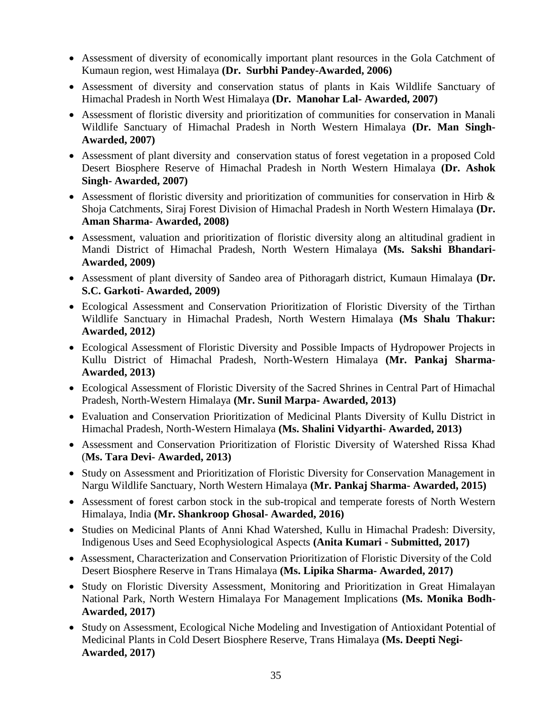- Assessment of diversity of economically important plant resources in the Gola Catchment of Kumaun region, west Himalaya **(Dr. Surbhi Pandey-Awarded, 2006)**
- Assessment of diversity and conservation status of plants in Kais Wildlife Sanctuary of Himachal Pradesh in North West Himalaya **(Dr. Manohar Lal- Awarded, 2007)**
- Assessment of floristic diversity and prioritization of communities for conservation in Manali Wildlife Sanctuary of Himachal Pradesh in North Western Himalaya **(Dr. Man Singh-Awarded, 2007)**
- Assessment of plant diversity and conservation status of forest vegetation in a proposed Cold Desert Biosphere Reserve of Himachal Pradesh in North Western Himalaya **(Dr. Ashok Singh- Awarded, 2007)**
- Assessment of floristic diversity and prioritization of communities for conservation in Hirb  $\&$ Shoja Catchments, Siraj Forest Division of Himachal Pradesh in North Western Himalaya **(Dr. Aman Sharma- Awarded, 2008)**
- Assessment, valuation and prioritization of floristic diversity along an altitudinal gradient in Mandi District of Himachal Pradesh, North Western Himalaya **(Ms. Sakshi Bhandari-Awarded, 2009)**
- Assessment of plant diversity of Sandeo area of Pithoragarh district, Kumaun Himalaya **(Dr. S.C. Garkoti- Awarded, 2009)**
- Ecological Assessment and Conservation Prioritization of Floristic Diversity of the Tirthan Wildlife Sanctuary in Himachal Pradesh, North Western Himalaya **(Ms Shalu Thakur: Awarded, 2012)**
- Ecological Assessment of Floristic Diversity and Possible Impacts of Hydropower Projects in Kullu District of Himachal Pradesh, North-Western Himalaya **(Mr. Pankaj Sharma-Awarded, 2013)**
- Ecological Assessment of Floristic Diversity of the Sacred Shrines in Central Part of Himachal Pradesh, North-Western Himalaya **(Mr. Sunil Marpa- Awarded, 2013)**
- Evaluation and Conservation Prioritization of Medicinal Plants Diversity of Kullu District in Himachal Pradesh, North-Western Himalaya **(Ms. Shalini Vidyarthi- Awarded, 2013)**
- Assessment and Conservation Prioritization of Floristic Diversity of Watershed Rissa Khad (**Ms. Tara Devi- Awarded, 2013)**
- Study on Assessment and Prioritization of Floristic Diversity for Conservation Management in Nargu Wildlife Sanctuary, North Western Himalaya **(Mr. Pankaj Sharma- Awarded, 2015)**
- Assessment of forest carbon stock in the sub-tropical and temperate forests of North Western Himalaya, India **(Mr. Shankroop Ghosal- Awarded, 2016)**
- Studies on Medicinal Plants of Anni Khad Watershed, Kullu in Himachal Pradesh: Diversity, Indigenous Uses and Seed Ecophysiological Aspects **(Anita Kumari - Submitted, 2017)**
- Assessment, Characterization and Conservation Prioritization of Floristic Diversity of the Cold Desert Biosphere Reserve in Trans Himalaya **(Ms. Lipika Sharma- Awarded, 2017)**
- Study on Floristic Diversity Assessment, Monitoring and Prioritization in Great Himalayan National Park, North Western Himalaya For Management Implications **(Ms. Monika Bodh-Awarded, 2017)**
- Study on Assessment, Ecological Niche Modeling and Investigation of Antioxidant Potential of Medicinal Plants in Cold Desert Biosphere Reserve, Trans Himalaya **(Ms. Deepti Negi-Awarded, 2017)**